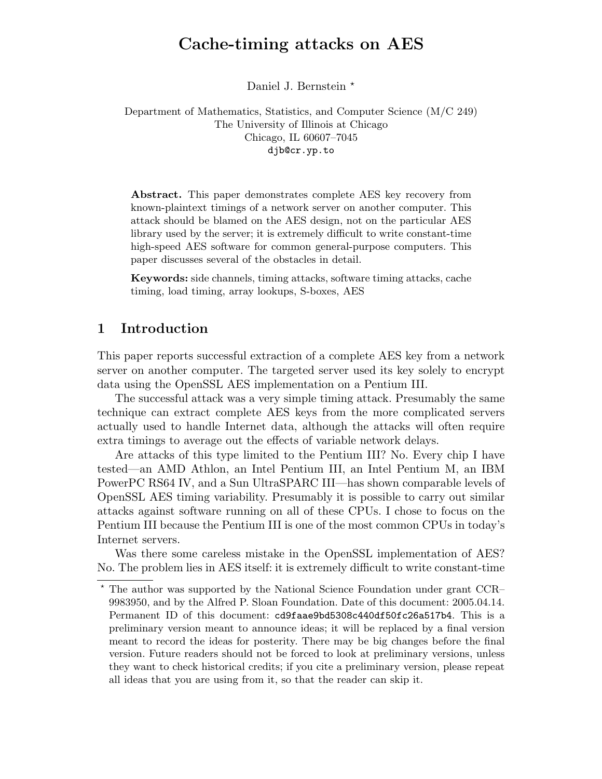# Cache-timing attacks on AES

Daniel J. Bernstein \*

Department of Mathematics, Statistics, and Computer Science (M/C 249) The University of Illinois at Chicago Chicago, IL 60607–7045 djb@cr.yp.to

Abstract. This paper demonstrates complete AES key recovery from known-plaintext timings of a network server on another computer. This attack should be blamed on the AES design, not on the particular AES library used by the server; it is extremely difficult to write constant-time high-speed AES software for common general-purpose computers. This paper discusses several of the obstacles in detail.

Keywords: side channels, timing attacks, software timing attacks, cache timing, load timing, array lookups, S-boxes, AES

### 1 Introduction

This paper reports successful extraction of a complete AES key from a network server on another computer. The targeted server used its key solely to encrypt data using the OpenSSL AES implementation on a Pentium III.

The successful attack was a very simple timing attack. Presumably the same technique can extract complete AES keys from the more complicated servers actually used to handle Internet data, although the attacks will often require extra timings to average out the effects of variable network delays.

Are attacks of this type limited to the Pentium III? No. Every chip I have tested—an AMD Athlon, an Intel Pentium III, an Intel Pentium M, an IBM PowerPC RS64 IV, and a Sun UltraSPARC III—has shown comparable levels of OpenSSL AES timing variability. Presumably it is possible to carry out similar attacks against software running on all of these CPUs. I chose to focus on the Pentium III because the Pentium III is one of the most common CPUs in today's Internet servers.

Was there some careless mistake in the OpenSSL implementation of AES? No. The problem lies in AES itself: it is extremely difficult to write constant-time

<sup>?</sup> The author was supported by the National Science Foundation under grant CCR– 9983950, and by the Alfred P. Sloan Foundation. Date of this document: 2005.04.14. Permanent ID of this document: cd9faae9bd5308c440df50fc26a517b4. This is a preliminary version meant to announce ideas; it will be replaced by a final version meant to record the ideas for posterity. There may be big changes before the final version. Future readers should not be forced to look at preliminary versions, unless they want to check historical credits; if you cite a preliminary version, please repeat all ideas that you are using from it, so that the reader can skip it.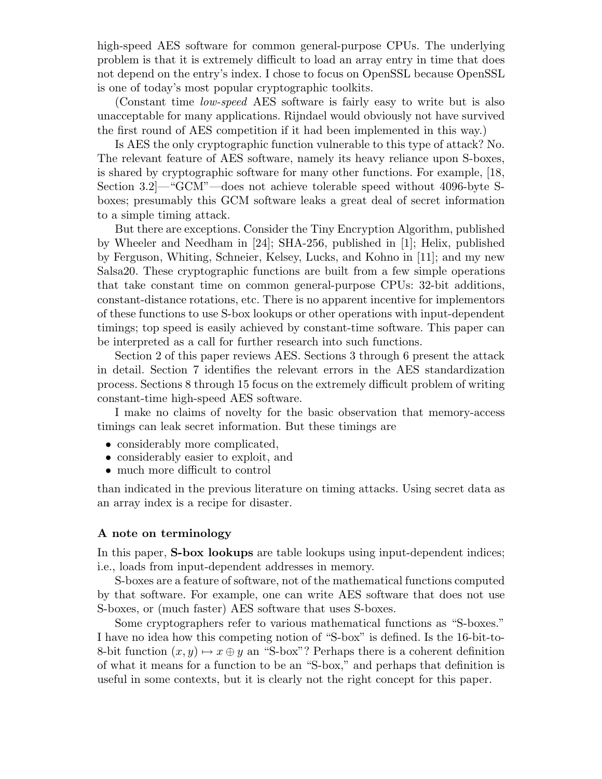high-speed AES software for common general-purpose CPUs. The underlying problem is that it is extremely difficult to load an array entry in time that does not depend on the entry's index. I chose to focus on OpenSSL because OpenSSL is one of today's most popular cryptographic toolkits.

(Constant time low-speed AES software is fairly easy to write but is also unacceptable for many applications. Rijndael would obviously not have survived the first round of AES competition if it had been implemented in this way.)

Is AES the only cryptographic function vulnerable to this type of attack? No. The relevant feature of AES software, namely its heavy reliance upon S-boxes, is shared by cryptographic software for many other functions. For example, [18, Section 3.2]—"GCM"—does not achieve tolerable speed without 4096-byte Sboxes; presumably this GCM software leaks a great deal of secret information to a simple timing attack.

But there are exceptions. Consider the Tiny Encryption Algorithm, published by Wheeler and Needham in [24]; SHA-256, published in [1]; Helix, published by Ferguson, Whiting, Schneier, Kelsey, Lucks, and Kohno in [11]; and my new Salsa20. These cryptographic functions are built from a few simple operations that take constant time on common general-purpose CPUs: 32-bit additions, constant-distance rotations, etc. There is no apparent incentive for implementors of these functions to use S-box lookups or other operations with input-dependent timings; top speed is easily achieved by constant-time software. This paper can be interpreted as a call for further research into such functions.

Section 2 of this paper reviews AES. Sections 3 through 6 present the attack in detail. Section 7 identifies the relevant errors in the AES standardization process. Sections 8 through 15 focus on the extremely difficult problem of writing constant-time high-speed AES software.

I make no claims of novelty for the basic observation that memory-access timings can leak secret information. But these timings are

- considerably more complicated,
- considerably easier to exploit, and
- much more difficult to control

than indicated in the previous literature on timing attacks. Using secret data as an array index is a recipe for disaster.

#### A note on terminology

In this paper, S-box lookups are table lookups using input-dependent indices; i.e., loads from input-dependent addresses in memory.

S-boxes are a feature of software, not of the mathematical functions computed by that software. For example, one can write AES software that does not use S-boxes, or (much faster) AES software that uses S-boxes.

Some cryptographers refer to various mathematical functions as "S-boxes." I have no idea how this competing notion of "S-box" is defined. Is the 16-bit-to-8-bit function  $(x, y) \mapsto x \oplus y$  an "S-box"? Perhaps there is a coherent definition of what it means for a function to be an "S-box," and perhaps that definition is useful in some contexts, but it is clearly not the right concept for this paper.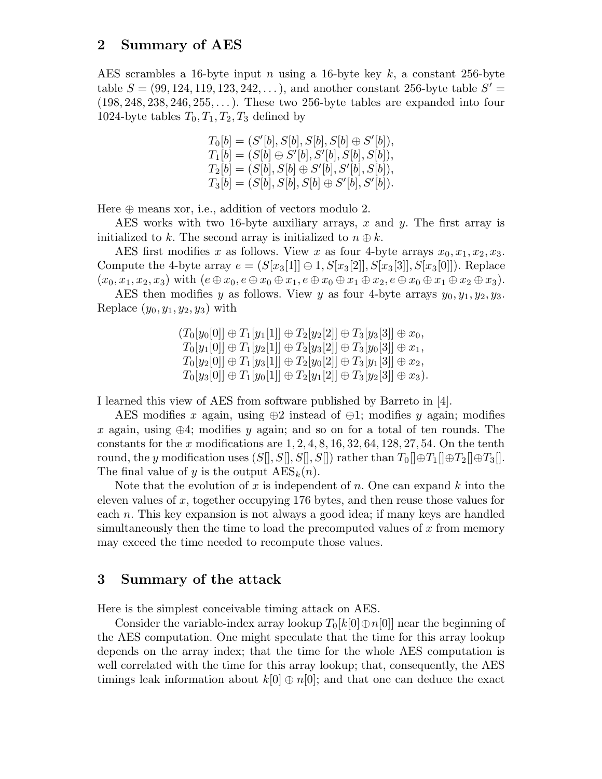### 2 Summary of AES

AES scrambles a 16-byte input n using a 16-byte key  $k$ , a constant 256-byte table  $S = (99, 124, 119, 123, 242, ...)$ , and another constant 256-byte table  $S' =$  $(198, 248, 238, 246, 255, \ldots)$ . These two 256-byte tables are expanded into four 1024-byte tables  $T_0, T_1, T_2, T_3$  defined by

$$
T_0[b] = (S'[b], S[b], S[b], S[b] \oplus S'[b]),T_1[b] = (S[b] \oplus S'[b], S'[b], S[b], S[b]),T_2[b] = (S[b], S[b] \oplus S'[b], S'[b], S[b]),T_3[b] = (S[b], S[b], S[b] \oplus S'[b], S'[b]).
$$

Here  $\oplus$  means xor, i.e., addition of vectors modulo 2.

AES works with two 16-byte auxiliary arrays,  $x$  and  $y$ . The first array is initialized to k. The second array is initialized to  $n \oplus k$ .

AES first modifies x as follows. View x as four 4-byte arrays  $x_0, x_1, x_2, x_3$ . Compute the 4-byte array  $e = (S[x_3[1]] \oplus 1, S[x_3[2]], S[x_3[3]], S[x_3[0]])$ . Replace  $(x_0, x_1, x_2, x_3)$  with  $(e \oplus x_0, e \oplus x_0 \oplus x_1, e \oplus x_0 \oplus x_1 \oplus x_2, e \oplus x_0 \oplus x_1 \oplus x_2 \oplus x_3).$ 

AES then modifies y as follows. View y as four 4-byte arrays  $y_0, y_1, y_2, y_3$ . Replace  $(y_0, y_1, y_2, y_3)$  with

$$
(T_0[y_0[0]] \oplus T_1[y_1[1]] \oplus T_2[y_2[2]] \oplus T_3[y_3[3]] \oplus x_0,
$$
  
\n
$$
T_0[y_1[0]] \oplus T_1[y_2[1]] \oplus T_2[y_3[2]] \oplus T_3[y_0[3]] \oplus x_1,
$$
  
\n
$$
T_0[y_2[0]] \oplus T_1[y_3[1]] \oplus T_2[y_0[2]] \oplus T_3[y_1[3]] \oplus x_2,
$$
  
\n
$$
T_0[y_3[0]] \oplus T_1[y_0[1]] \oplus T_2[y_1[2]] \oplus T_3[y_2[3]] \oplus x_3).
$$

I learned this view of AES from software published by Barreto in [4].

AES modifies x again, using  $\oplus$  instead of  $\oplus$ 1; modifies y again; modifies x again, using  $\oplus$ 4; modifies y again; and so on for a total of ten rounds. The constants for the x modifications are  $1, 2, 4, 8, 16, 32, 64, 128, 27, 54$ . On the tenth round, the y modification uses  $(S[], S[], S[], S[]$  rather than  $T_0[\exists \oplus T_1[\exists \oplus T_2[\exists \oplus T_3]].$ The final value of y is the output  $\text{AES}_k(n)$ .

Note that the evolution of x is independent of n. One can expand  $k$  into the eleven values of x, together occupying 176 bytes, and then reuse those values for each n. This key expansion is not always a good idea; if many keys are handled simultaneously then the time to load the precomputed values of  $x$  from memory may exceed the time needed to recompute those values.

#### 3 Summary of the attack

Here is the simplest conceivable timing attack on AES.

Consider the variable-index array lookup  $T_0[k[0]\oplus n[0]]$  near the beginning of the AES computation. One might speculate that the time for this array lookup depends on the array index; that the time for the whole AES computation is well correlated with the time for this array lookup; that, consequently, the AES timings leak information about  $k[0] \oplus n[0]$ ; and that one can deduce the exact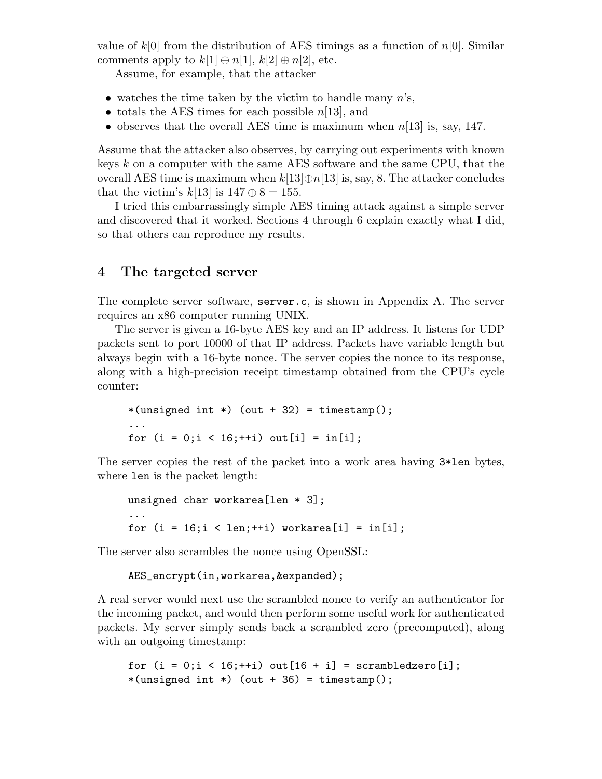value of  $k[0]$  from the distribution of AES timings as a function of  $n[0]$ . Similar comments apply to  $k[1] \oplus n[1], k[2] \oplus n[2],$  etc.

Assume, for example, that the attacker

- watches the time taken by the victim to handle many  $n$ 's,
- totals the AES times for each possible  $n[13]$ , and
- observes that the overall AES time is maximum when  $n[13]$  is, say, 147.

Assume that the attacker also observes, by carrying out experiments with known keys k on a computer with the same AES software and the same CPU, that the overall AES time is maximum when  $k[13] \oplus n[13]$  is, say, 8. The attacker concludes that the victim's  $k[13]$  is  $147 \oplus 8 = 155$ .

I tried this embarrassingly simple AES timing attack against a simple server and discovered that it worked. Sections 4 through 6 explain exactly what I did, so that others can reproduce my results.

## 4 The targeted server

The complete server software, server.c, is shown in Appendix A. The server requires an x86 computer running UNIX.

The server is given a 16-byte AES key and an IP address. It listens for UDP packets sent to port 10000 of that IP address. Packets have variable length but always begin with a 16-byte nonce. The server copies the nonce to its response, along with a high-precision receipt timestamp obtained from the CPU's cycle counter:

```
*(\text{unsigned int }*) (out + 32) = timestamp();
...
for (i = 0; i \le 16; ++i) out [i] = in[i];
```
The server copies the rest of the packet into a work area having 3\*len bytes, where len is the packet length:

```
unsigned char workarea[len * 3];
...
for (i = 16; i < len;++i) workarea[i] = in[i];
```
The server also scrambles the nonce using OpenSSL:

```
AES_encrypt(in,workarea,&expanded);
```
A real server would next use the scrambled nonce to verify an authenticator for the incoming packet, and would then perform some useful work for authenticated packets. My server simply sends back a scrambled zero (precomputed), along with an outgoing timestamp:

```
for (i = 0; i \lt 16; ++i) out[16 + i] = scrambledzero[i];
*(\text{unsigned int }*) (out + 36) = timestamp();
```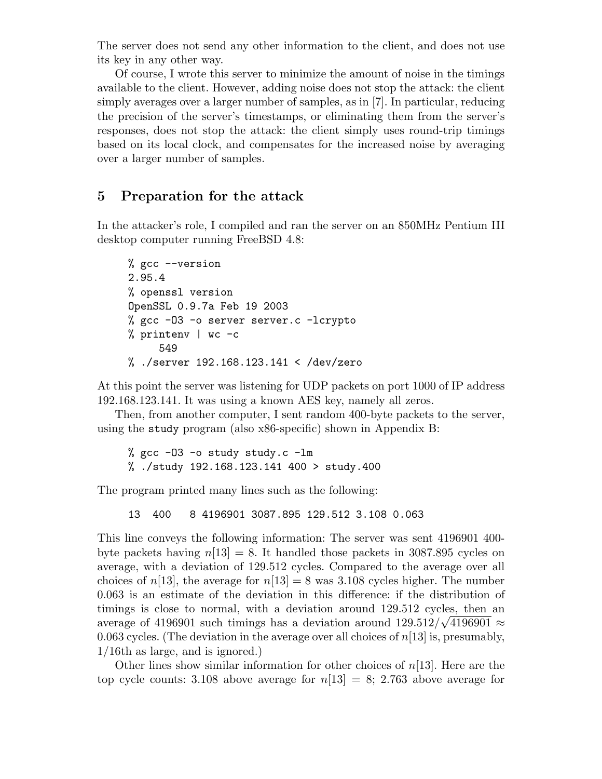The server does not send any other information to the client, and does not use its key in any other way.

Of course, I wrote this server to minimize the amount of noise in the timings available to the client. However, adding noise does not stop the attack: the client simply averages over a larger number of samples, as in [7]. In particular, reducing the precision of the server's timestamps, or eliminating them from the server's responses, does not stop the attack: the client simply uses round-trip timings based on its local clock, and compensates for the increased noise by averaging over a larger number of samples.

### 5 Preparation for the attack

In the attacker's role, I compiled and ran the server on an 850MHz Pentium III desktop computer running FreeBSD 4.8:

```
% gcc --version
2.95.4
% openssl version
OpenSSL 0.9.7a Feb 19 2003
% gcc -O3 -o server server.c -lcrypto
% printenv | wc -c
     549
% ./server 192.168.123.141 < /dev/zero
```
At this point the server was listening for UDP packets on port 1000 of IP address 192.168.123.141. It was using a known AES key, namely all zeros.

Then, from another computer, I sent random 400-byte packets to the server, using the study program (also x86-specific) shown in Appendix B:

% gcc -O3 -o study study.c -lm % ./study 192.168.123.141 400 > study.400

The program printed many lines such as the following:

13 400 8 4196901 3087.895 129.512 3.108 0.063

This line conveys the following information: The server was sent 4196901 400 byte packets having  $n[13] = 8$ . It handled those packets in 3087.895 cycles on average, with a deviation of 129.512 cycles. Compared to the average over all choices of  $n[13]$ , the average for  $n[13] = 8$  was 3.108 cycles higher. The number 0.063 is an estimate of the deviation in this difference: if the distribution of timings is close to normal, with a deviation around 129.512 cycles, then an average of 4196901 such timings has a deviation around  $129.512/\sqrt{4196901} \approx$ 0.063 cycles. (The deviation in the average over all choices of  $n[13]$  is, presumably, 1/16th as large, and is ignored.)

Other lines show similar information for other choices of  $n[13]$ . Here are the top cycle counts: 3.108 above average for  $n[13] = 8$ ; 2.763 above average for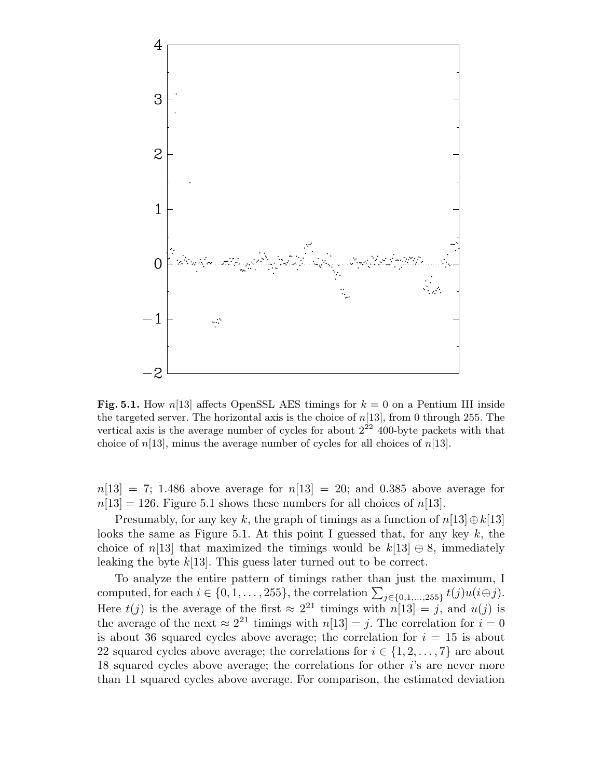

Fig. 5.1. How  $n[13]$  affects OpenSSL AES timings for  $k = 0$  on a Pentium III inside the targeted server. The horizontal axis is the choice of  $n[13]$ , from 0 through 255. The vertical axis is the average number of cycles for about  $2^{22}$  400-byte packets with that choice of  $n[13]$ , minus the average number of cycles for all choices of  $n[13]$ .

 $n[13] = 7$ ; 1.486 above average for  $n[13] = 20$ ; and 0.385 above average for  $n[13] = 126$ . Figure 5.1 shows these numbers for all choices of  $n[13]$ .

Presumably, for any key k, the graph of timings as a function of  $n[13] \oplus k[13]$ looks the same as Figure 5.1. At this point I guessed that, for any key  $k$ , the choice of  $n[13]$  that maximized the timings would be  $k[13] \oplus 8$ , immediately leaking the byte  $k[13]$ . This guess later turned out to be correct.

To analyze the entire pattern of timings rather than just the maximum, I computed, for each  $i \in \{0, 1, \ldots, 255\}$ , the correlation  $\sum_{j \in \{0, 1, \ldots, 255\}} t(j) u(i \oplus j)$ . Here  $t(j)$  is the average of the first  $\approx 2^{21}$  timings with  $n[13] = j$ , and  $u(j)$  is the average of the next  $\approx 2^{21}$  timings with  $n[13] = j$ . The correlation for  $i = 0$ is about 36 squared cycles above average; the correlation for  $i = 15$  is about 22 squared cycles above average; the correlations for  $i \in \{1, 2, \ldots, 7\}$  are about 18 squared cycles above average; the correlations for other i's are never more than 11 squared cycles above average. For comparison, the estimated deviation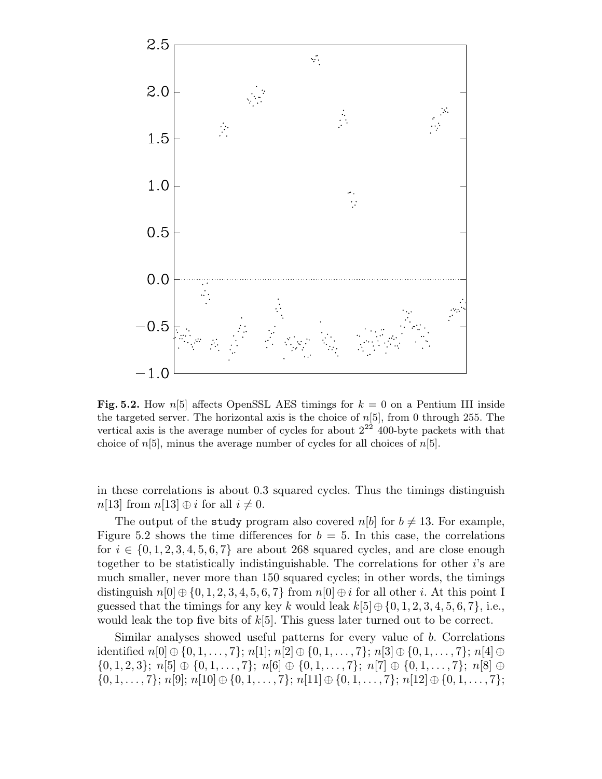

Fig. 5.2. How  $n[5]$  affects OpenSSL AES timings for  $k = 0$  on a Pentium III inside the targeted server. The horizontal axis is the choice of  $n[5]$ , from 0 through 255. The vertical axis is the average number of cycles for about  $2^{22}$  400-byte packets with that choice of  $n[5]$ , minus the average number of cycles for all choices of  $n[5]$ .

in these correlations is about 0.3 squared cycles. Thus the timings distinguish  $n[13]$  from  $n[13] \oplus i$  for all  $i \neq 0$ .

The output of the study program also covered  $n[b]$  for  $b \neq 13$ . For example, Figure 5.2 shows the time differences for  $b = 5$ . In this case, the correlations for  $i \in \{0, 1, 2, 3, 4, 5, 6, 7\}$  are about 268 squared cycles, and are close enough together to be statistically indistinguishable. The correlations for other i's are much smaller, never more than 150 squared cycles; in other words, the timings distinguish  $n[0] \oplus \{0, 1, 2, 3, 4, 5, 6, 7\}$  from  $n[0] \oplus i$  for all other i. At this point I guessed that the timings for any key k would leak  $k[5]\oplus\{0, 1, 2, 3, 4, 5, 6, 7\}$ , i.e., would leak the top five bits of  $k[5]$ . This guess later turned out to be correct.

Similar analyses showed useful patterns for every value of b. Correlations identified  $n[0] \oplus \{0, 1, \ldots, 7\}; n[1]; n[2] \oplus \{0, 1, \ldots, 7\}; n[3] \oplus \{0, 1, \ldots, 7\}; n[4] \oplus$  $\{0, 1, 2, 3\}; n[5] \oplus \{0, 1, \ldots, 7\}; n[6] \oplus \{0, 1, \ldots, 7\}; n[7] \oplus \{0, 1, \ldots, 7\}; n[8] \oplus$  $\{0, 1, \ldots, 7\}; n[9]; n[10] \oplus \{0, 1, \ldots, 7\}; n[11] \oplus \{0, 1, \ldots, 7\}; n[12] \oplus \{0, 1, \ldots, 7\};$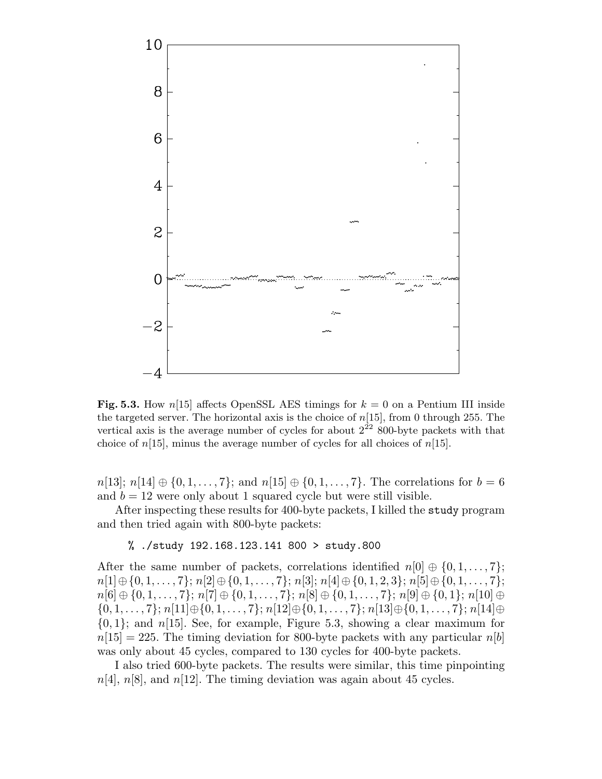

Fig. 5.3. How  $n[15]$  affects OpenSSL AES timings for  $k = 0$  on a Pentium III inside the targeted server. The horizontal axis is the choice of  $n[15]$ , from 0 through 255. The vertical axis is the average number of cycles for about  $2^{22}$  800-byte packets with that choice of  $n[15]$ , minus the average number of cycles for all choices of  $n[15]$ .

 $n[13]$ ;  $n[14] \oplus \{0, 1, ..., 7\}$ ; and  $n[15] \oplus \{0, 1, ..., 7\}$ . The correlations for  $b = 6$ and  $b = 12$  were only about 1 squared cycle but were still visible.

After inspecting these results for 400-byte packets, I killed the study program and then tried again with 800-byte packets:

% ./study 192.168.123.141 800 > study.800

After the same number of packets, correlations identified  $n[0] \oplus \{0, 1, \ldots, 7\}$ ;  $n[1] \oplus \{0, 1, \ldots, 7\}; n[2] \oplus \{0, 1, \ldots, 7\}; n[3]; n[4] \oplus \{0, 1, 2, 3\}; n[5] \oplus \{0, 1, \ldots, 7\};$  $n[6] \oplus \{0, 1, \ldots, 7\}; n[7] \oplus \{0, 1, \ldots, 7\}; n[8] \oplus \{0, 1, \ldots, 7\}; n[9] \oplus \{0, 1\}; n[10] \oplus$  $\{0, 1, \ldots, 7\}; n[11] \oplus \{0, 1, \ldots, 7\}; n[12] \oplus \{0, 1, \ldots, 7\}; n[13] \oplus \{0, 1, \ldots, 7\}; n[14] \oplus$  $\{0, 1\}$ ; and  $n[15]$ . See, for example, Figure 5.3, showing a clear maximum for  $n[15] = 225$ . The timing deviation for 800-byte packets with any particular  $n[b]$ was only about 45 cycles, compared to 130 cycles for 400-byte packets.

I also tried 600-byte packets. The results were similar, this time pinpointing  $n[4]$ ,  $n[8]$ , and  $n[12]$ . The timing deviation was again about 45 cycles.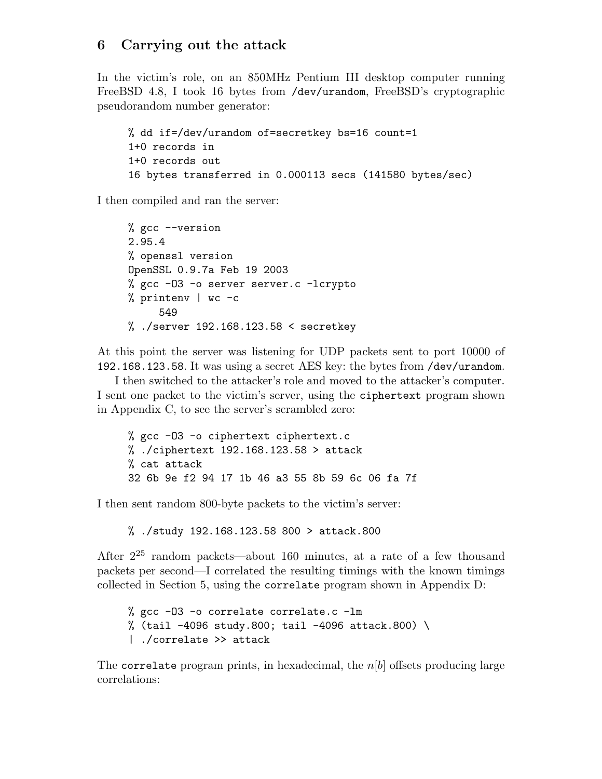## 6 Carrying out the attack

In the victim's role, on an 850MHz Pentium III desktop computer running FreeBSD 4.8, I took 16 bytes from /dev/urandom, FreeBSD's cryptographic pseudorandom number generator:

```
% dd if=/dev/urandom of=secretkey bs=16 count=1
1+0 records in
1+0 records out
16 bytes transferred in 0.000113 secs (141580 bytes/sec)
```
I then compiled and ran the server:

```
% gcc --version
2.95.4
% openssl version
OpenSSL 0.9.7a Feb 19 2003
% gcc -O3 -o server server.c -lcrypto
% printenv | wc -c
     549
% ./server 192.168.123.58 < secretkey
```
At this point the server was listening for UDP packets sent to port 10000 of 192.168.123.58. It was using a secret AES key: the bytes from /dev/urandom.

I then switched to the attacker's role and moved to the attacker's computer. I sent one packet to the victim's server, using the ciphertext program shown in Appendix C, to see the server's scrambled zero:

% gcc -O3 -o ciphertext ciphertext.c % ./ciphertext 192.168.123.58 > attack % cat attack 32 6b 9e f2 94 17 1b 46 a3 55 8b 59 6c 06 fa 7f

I then sent random 800-byte packets to the victim's server:

% ./study 192.168.123.58 800 > attack.800

After 2 <sup>25</sup> random packets—about 160 minutes, at a rate of a few thousand packets per second—I correlated the resulting timings with the known timings collected in Section 5, using the correlate program shown in Appendix D:

% gcc -O3 -o correlate correlate.c -lm % (tail -4096 study.800; tail -4096 attack.800) \ | ./correlate >> attack

The correlate program prints, in hexadecimal, the  $n[b]$  offsets producing large correlations: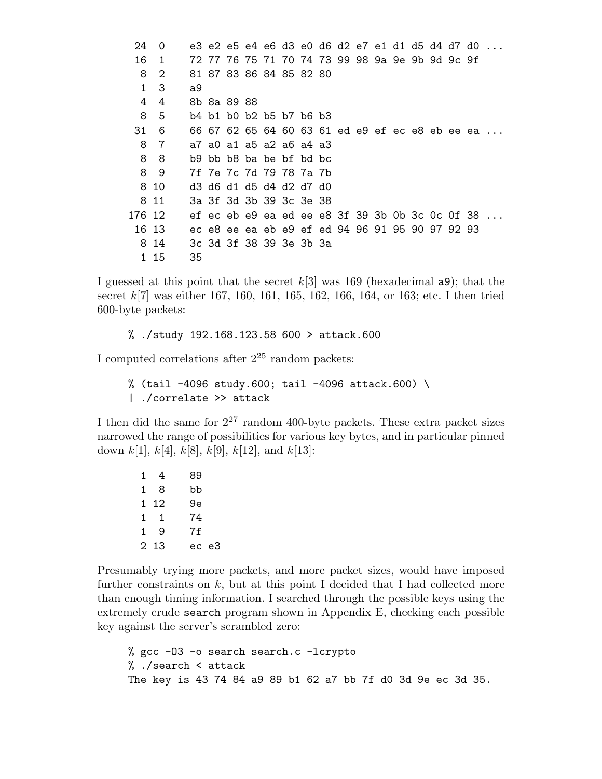| 24           | $\Omega$       |    |             |                                                 |  |  |  |  |  |                                                 | e3 e2 e5 e4 e6 d3 e0 d6 d2 e7 e1 d1 d5 d4 d7 d0 |
|--------------|----------------|----|-------------|-------------------------------------------------|--|--|--|--|--|-------------------------------------------------|-------------------------------------------------|
| 16           | 1              |    |             | 72 77 76 75 71 70 74 73 99 98 9a 9e 9b 9d 9c 9f |  |  |  |  |  |                                                 |                                                 |
| 8            | 2              |    |             | 81 87 83 86 84 85 82 80                         |  |  |  |  |  |                                                 |                                                 |
| $\mathbf{1}$ | 3              | a9 |             |                                                 |  |  |  |  |  |                                                 |                                                 |
| 4            | $\overline{4}$ |    | 8b 8a 89 88 |                                                 |  |  |  |  |  |                                                 |                                                 |
| 8            | 5              |    |             | b4 b1 b0 b2 b5 b7 b6 b3                         |  |  |  |  |  |                                                 |                                                 |
| 31           | 6              |    |             |                                                 |  |  |  |  |  |                                                 | 66 67 62 65 64 60 63 61 ed e9 ef ec e8 eb ee ea |
| 8            | $\overline{7}$ |    |             | a7 a0 a1 a5 a2 a6 a4 a3                         |  |  |  |  |  |                                                 |                                                 |
| 8            | -8             |    |             | b9 bb b8 ba be bf bd bc                         |  |  |  |  |  |                                                 |                                                 |
| 8            | -9             |    |             | 7f 7e 7c 7d 79 78 7a 7b                         |  |  |  |  |  |                                                 |                                                 |
|              | 8 10           |    |             | d3 d6 d1 d5 d4 d2 d7 d0                         |  |  |  |  |  |                                                 |                                                 |
|              | 8 11           |    |             | 3a 3f 3d 3b 39 3c 3e 38                         |  |  |  |  |  |                                                 |                                                 |
| 176 12       |                |    |             |                                                 |  |  |  |  |  | ef ec eb e9 ea ed ee e8 3f 39 3b 0b 3c 0c 0f 38 |                                                 |
| 16 13        |                |    |             | ec e8 ee ea eb e9 ef ed 94 96 91 95 90 97 92 93 |  |  |  |  |  |                                                 |                                                 |
|              | 814            |    |             | 3c 3d 3f 38 39 3e 3b 3a                         |  |  |  |  |  |                                                 |                                                 |
|              | 1 15           | 35 |             |                                                 |  |  |  |  |  |                                                 |                                                 |

I guessed at this point that the secret  $k[3]$  was 169 (hexadecimal a9); that the secret k[7] was either 167, 160, 161, 165, 162, 166, 164, or 163; etc. I then tried 600-byte packets:

% ./study 192.168.123.58 600 > attack.600

I computed correlations after  $2^{25}$  random packets:

% (tail -4096 study.600; tail -4096 attack.600) \ | ./correlate >> attack

I then did the same for  $2^{27}$  random 400-byte packets. These extra packet sizes narrowed the range of possibilities for various key bytes, and in particular pinned down  $k[1], k[4], k[8], k[9], k[12],$  and  $k[13]$ :

| 1  | 4  | 89       |
|----|----|----------|
| 1  | 8  | bb       |
| 1  | 12 | 9e       |
| 1  | 1  | 74       |
| 1  | 9  | 7f       |
| 2. | 13 | e3<br>ec |

Presumably trying more packets, and more packet sizes, would have imposed further constraints on k, but at this point I decided that I had collected more than enough timing information. I searched through the possible keys using the extremely crude search program shown in Appendix E, checking each possible key against the server's scrambled zero:

% gcc -O3 -o search search.c -lcrypto % ./search < attack The key is 43 74 84 a9 89 b1 62 a7 bb 7f d0 3d 9e ec 3d 35.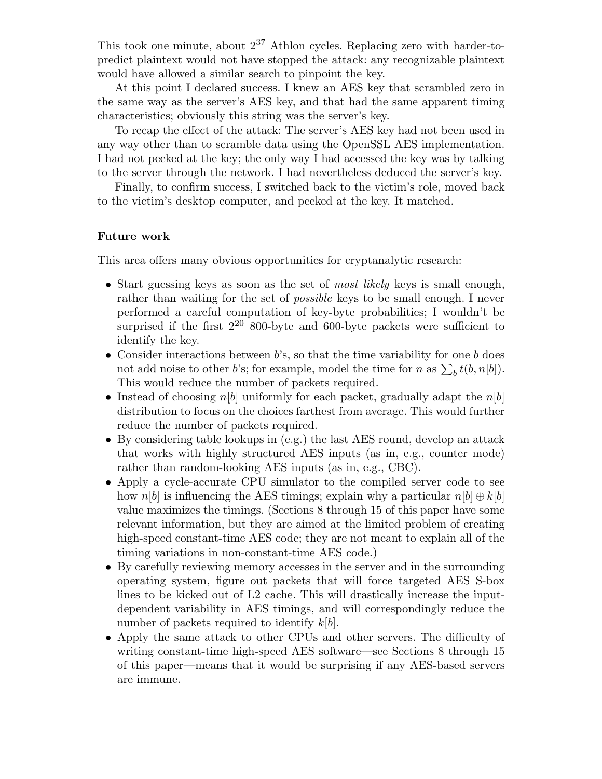This took one minute, about  $2^{37}$  Athlon cycles. Replacing zero with harder-topredict plaintext would not have stopped the attack: any recognizable plaintext would have allowed a similar search to pinpoint the key.

At this point I declared success. I knew an AES key that scrambled zero in the same way as the server's AES key, and that had the same apparent timing characteristics; obviously this string was the server's key.

To recap the effect of the attack: The server's AES key had not been used in any way other than to scramble data using the OpenSSL AES implementation. I had not peeked at the key; the only way I had accessed the key was by talking to the server through the network. I had nevertheless deduced the server's key.

Finally, to confirm success, I switched back to the victim's role, moved back to the victim's desktop computer, and peeked at the key. It matched.

#### Future work

This area offers many obvious opportunities for cryptanalytic research:

- Start guessing keys as soon as the set of most likely keys is small enough, rather than waiting for the set of *possible* keys to be small enough. I never performed a careful computation of key-byte probabilities; I wouldn't be surprised if the first  $2^{20}$  800-byte and 600-byte packets were sufficient to identify the key.
- Consider interactions between  $b$ 's, so that the time variability for one  $b$  does not add noise to other *b*'s; for example, model the time for *n* as  $\sum_b t(b, n[b])$ . This would reduce the number of packets required.
- Instead of choosing  $n[b]$  uniformly for each packet, gradually adapt the  $n[b]$ distribution to focus on the choices farthest from average. This would further reduce the number of packets required.
- By considering table lookups in (e.g.) the last AES round, develop an attack that works with highly structured AES inputs (as in, e.g., counter mode) rather than random-looking AES inputs (as in, e.g., CBC).
- Apply a cycle-accurate CPU simulator to the compiled server code to see how  $n[b]$  is influencing the AES timings; explain why a particular  $n[b] \oplus k[b]$ value maximizes the timings. (Sections 8 through 15 of this paper have some relevant information, but they are aimed at the limited problem of creating high-speed constant-time AES code; they are not meant to explain all of the timing variations in non-constant-time AES code.)
- By carefully reviewing memory accesses in the server and in the surrounding operating system, figure out packets that will force targeted AES S-box lines to be kicked out of L2 cache. This will drastically increase the inputdependent variability in AES timings, and will correspondingly reduce the number of packets required to identify  $k[b]$ .
- Apply the same attack to other CPUs and other servers. The difficulty of writing constant-time high-speed AES software—see Sections 8 through 15 of this paper—means that it would be surprising if any AES-based servers are immune.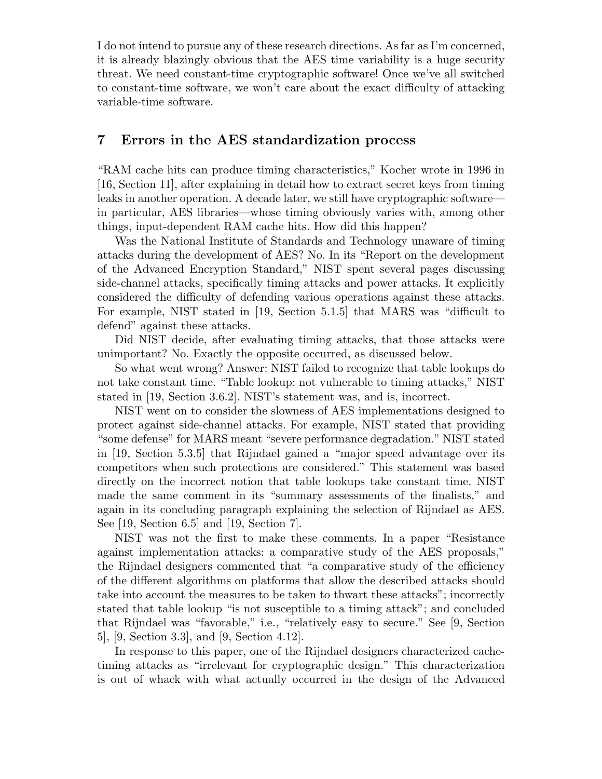I do not intend to pursue any of these research directions. As far as I'm concerned, it is already blazingly obvious that the AES time variability is a huge security threat. We need constant-time cryptographic software! Once we've all switched to constant-time software, we won't care about the exact difficulty of attacking variable-time software.

### 7 Errors in the AES standardization process

"RAM cache hits can produce timing characteristics," Kocher wrote in 1996 in [16, Section 11], after explaining in detail how to extract secret keys from timing leaks in another operation. A decade later, we still have cryptographic software in particular, AES libraries—whose timing obviously varies with, among other things, input-dependent RAM cache hits. How did this happen?

Was the National Institute of Standards and Technology unaware of timing attacks during the development of AES? No. In its "Report on the development of the Advanced Encryption Standard," NIST spent several pages discussing side-channel attacks, specifically timing attacks and power attacks. It explicitly considered the difficulty of defending various operations against these attacks. For example, NIST stated in [19, Section 5.1.5] that MARS was "difficult to defend" against these attacks.

Did NIST decide, after evaluating timing attacks, that those attacks were unimportant? No. Exactly the opposite occurred, as discussed below.

So what went wrong? Answer: NIST failed to recognize that table lookups do not take constant time. "Table lookup: not vulnerable to timing attacks," NIST stated in [19, Section 3.6.2]. NIST's statement was, and is, incorrect.

NIST went on to consider the slowness of AES implementations designed to protect against side-channel attacks. For example, NIST stated that providing "some defense" for MARS meant "severe performance degradation." NIST stated in [19, Section 5.3.5] that Rijndael gained a "major speed advantage over its competitors when such protections are considered." This statement was based directly on the incorrect notion that table lookups take constant time. NIST made the same comment in its "summary assessments of the finalists," and again in its concluding paragraph explaining the selection of Rijndael as AES. See [19, Section 6.5] and [19, Section 7].

NIST was not the first to make these comments. In a paper "Resistance against implementation attacks: a comparative study of the AES proposals," the Rijndael designers commented that "a comparative study of the efficiency of the different algorithms on platforms that allow the described attacks should take into account the measures to be taken to thwart these attacks"; incorrectly stated that table lookup "is not susceptible to a timing attack"; and concluded that Rijndael was "favorable," i.e., "relatively easy to secure." See [9, Section 5], [9, Section 3.3], and [9, Section 4.12].

In response to this paper, one of the Rijndael designers characterized cachetiming attacks as "irrelevant for cryptographic design." This characterization is out of whack with what actually occurred in the design of the Advanced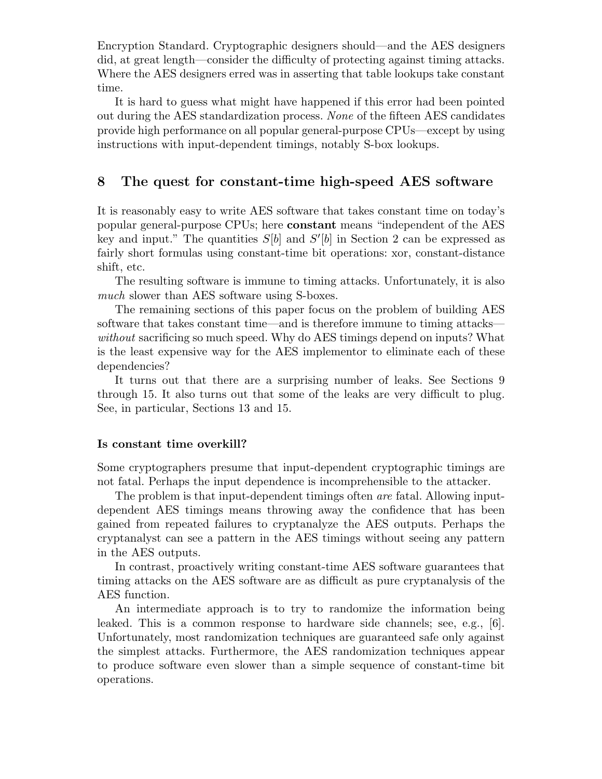Encryption Standard. Cryptographic designers should—and the AES designers did, at great length—consider the difficulty of protecting against timing attacks. Where the AES designers erred was in asserting that table lookups take constant time.

It is hard to guess what might have happened if this error had been pointed out during the AES standardization process. None of the fifteen AES candidates provide high performance on all popular general-purpose CPUs—except by using instructions with input-dependent timings, notably S-box lookups.

## 8 The quest for constant-time high-speed AES software

It is reasonably easy to write AES software that takes constant time on today's popular general-purpose CPUs; here constant means "independent of the AES key and input." The quantities  $S[b]$  and  $S'[b]$  in Section 2 can be expressed as fairly short formulas using constant-time bit operations: xor, constant-distance shift, etc.

The resulting software is immune to timing attacks. Unfortunately, it is also much slower than AES software using S-boxes.

The remaining sections of this paper focus on the problem of building AES software that takes constant time—and is therefore immune to timing attacks without sacrificing so much speed. Why do AES timings depend on inputs? What is the least expensive way for the AES implementor to eliminate each of these dependencies?

It turns out that there are a surprising number of leaks. See Sections 9 through 15. It also turns out that some of the leaks are very difficult to plug. See, in particular, Sections 13 and 15.

#### Is constant time overkill?

Some cryptographers presume that input-dependent cryptographic timings are not fatal. Perhaps the input dependence is incomprehensible to the attacker.

The problem is that input-dependent timings often are fatal. Allowing inputdependent AES timings means throwing away the confidence that has been gained from repeated failures to cryptanalyze the AES outputs. Perhaps the cryptanalyst can see a pattern in the AES timings without seeing any pattern in the AES outputs.

In contrast, proactively writing constant-time AES software guarantees that timing attacks on the AES software are as difficult as pure cryptanalysis of the AES function.

An intermediate approach is to try to randomize the information being leaked. This is a common response to hardware side channels; see, e.g., [6]. Unfortunately, most randomization techniques are guaranteed safe only against the simplest attacks. Furthermore, the AES randomization techniques appear to produce software even slower than a simple sequence of constant-time bit operations.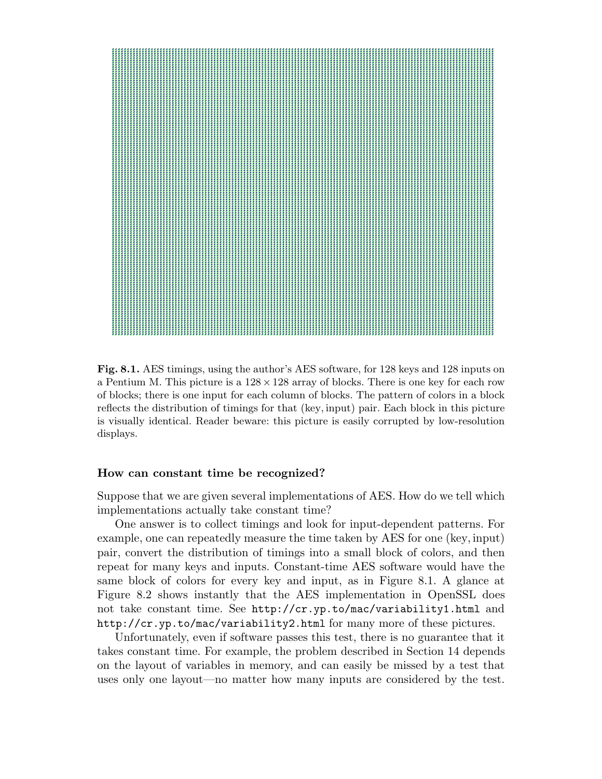

Fig. 8.1. AES timings, using the author's AES software, for 128 keys and 128 inputs on a Pentium M. This picture is a  $128 \times 128$  array of blocks. There is one key for each row of blocks; there is one input for each column of blocks. The pattern of colors in a block reflects the distribution of timings for that (key, input) pair. Each block in this picture is visually identical. Reader beware: this picture is easily corrupted by low-resolution displays.

#### How can constant time be recognized?

Suppose that we are given several implementations of AES. How do we tell which implementations actually take constant time?

One answer is to collect timings and look for input-dependent patterns. For example, one can repeatedly measure the time taken by AES for one (key, input) pair, convert the distribution of timings into a small block of colors, and then repeat for many keys and inputs. Constant-time AES software would have the same block of colors for every key and input, as in Figure 8.1. A glance at Figure 8.2 shows instantly that the AES implementation in OpenSSL does not take constant time. See http://cr.yp.to/mac/variability1.html and http://cr.yp.to/mac/variability2.html for many more of these pictures.

Unfortunately, even if software passes this test, there is no guarantee that it takes constant time. For example, the problem described in Section 14 depends on the layout of variables in memory, and can easily be missed by a test that uses only one layout—no matter how many inputs are considered by the test.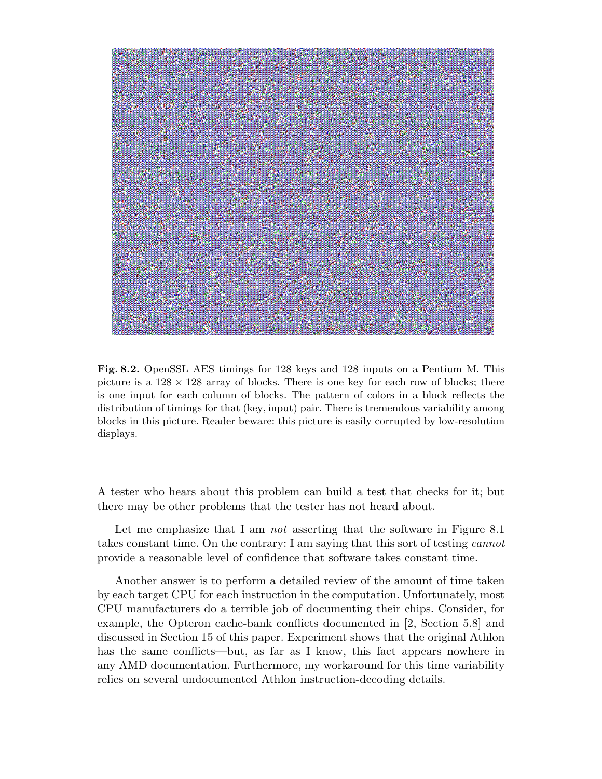

Fig. 8.2. OpenSSL AES timings for 128 keys and 128 inputs on a Pentium M. This picture is a  $128 \times 128$  array of blocks. There is one key for each row of blocks; there is one input for each column of blocks. The pattern of colors in a block reflects the distribution of timings for that (key, input) pair. There is tremendous variability among blocks in this picture. Reader beware: this picture is easily corrupted by low-resolution displays.

A tester who hears about this problem can build a test that checks for it; but there may be other problems that the tester has not heard about.

Let me emphasize that I am *not* asserting that the software in Figure 8.1 takes constant time. On the contrary: I am saying that this sort of testing cannot provide a reasonable level of confidence that software takes constant time.

Another answer is to perform a detailed review of the amount of time taken by each target CPU for each instruction in the computation. Unfortunately, most CPU manufacturers do a terrible job of documenting their chips. Consider, for example, the Opteron cache-bank conflicts documented in [2, Section 5.8] and discussed in Section 15 of this paper. Experiment shows that the original Athlon has the same conflicts—but, as far as I know, this fact appears nowhere in any AMD documentation. Furthermore, my workaround for this time variability relies on several undocumented Athlon instruction-decoding details.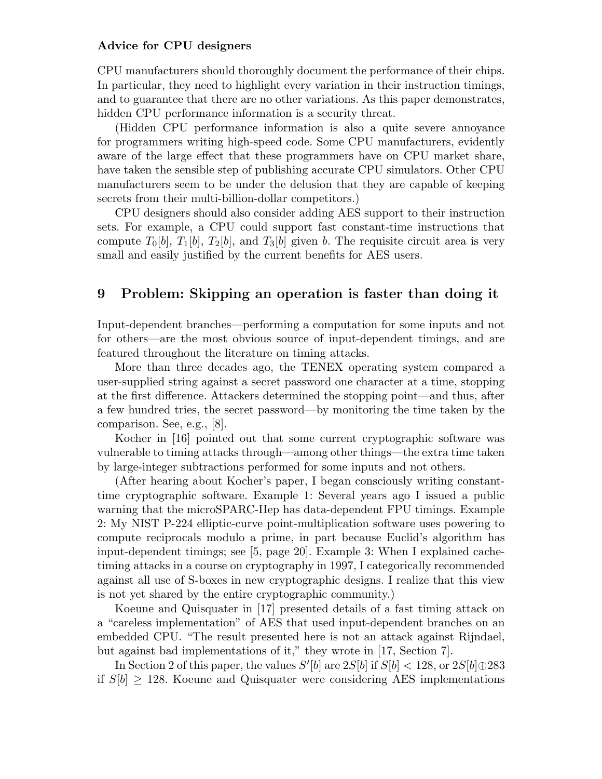#### Advice for CPU designers

CPU manufacturers should thoroughly document the performance of their chips. In particular, they need to highlight every variation in their instruction timings, and to guarantee that there are no other variations. As this paper demonstrates, hidden CPU performance information is a security threat.

(Hidden CPU performance information is also a quite severe annoyance for programmers writing high-speed code. Some CPU manufacturers, evidently aware of the large effect that these programmers have on CPU market share, have taken the sensible step of publishing accurate CPU simulators. Other CPU manufacturers seem to be under the delusion that they are capable of keeping secrets from their multi-billion-dollar competitors.)

CPU designers should also consider adding AES support to their instruction sets. For example, a CPU could support fast constant-time instructions that compute  $T_0[b], T_1[b], T_2[b]$ , and  $T_3[b]$  given b. The requisite circuit area is very small and easily justified by the current benefits for AES users.

### 9 Problem: Skipping an operation is faster than doing it

Input-dependent branches—performing a computation for some inputs and not for others—are the most obvious source of input-dependent timings, and are featured throughout the literature on timing attacks.

More than three decades ago, the TENEX operating system compared a user-supplied string against a secret password one character at a time, stopping at the first difference. Attackers determined the stopping point—and thus, after a few hundred tries, the secret password—by monitoring the time taken by the comparison. See, e.g., [8].

Kocher in [16] pointed out that some current cryptographic software was vulnerable to timing attacks through—among other things—the extra time taken by large-integer subtractions performed for some inputs and not others.

(After hearing about Kocher's paper, I began consciously writing constanttime cryptographic software. Example 1: Several years ago I issued a public warning that the microSPARC-IIep has data-dependent FPU timings. Example 2: My NIST P-224 elliptic-curve point-multiplication software uses powering to compute reciprocals modulo a prime, in part because Euclid's algorithm has input-dependent timings; see [5, page 20]. Example 3: When I explained cachetiming attacks in a course on cryptography in 1997, I categorically recommended against all use of S-boxes in new cryptographic designs. I realize that this view is not yet shared by the entire cryptographic community.)

Koeune and Quisquater in [17] presented details of a fast timing attack on a "careless implementation" of AES that used input-dependent branches on an embedded CPU. "The result presented here is not an attack against Rijndael, but against bad implementations of it," they wrote in [17, Section 7].

In Section 2 of this paper, the values  $S'[b]$  are  $2S[b]$  if  $S[b] < 128$ , or  $2S[b] \oplus 283$ if  $S[b] \geq 128$ . Koeune and Quisquater were considering AES implementations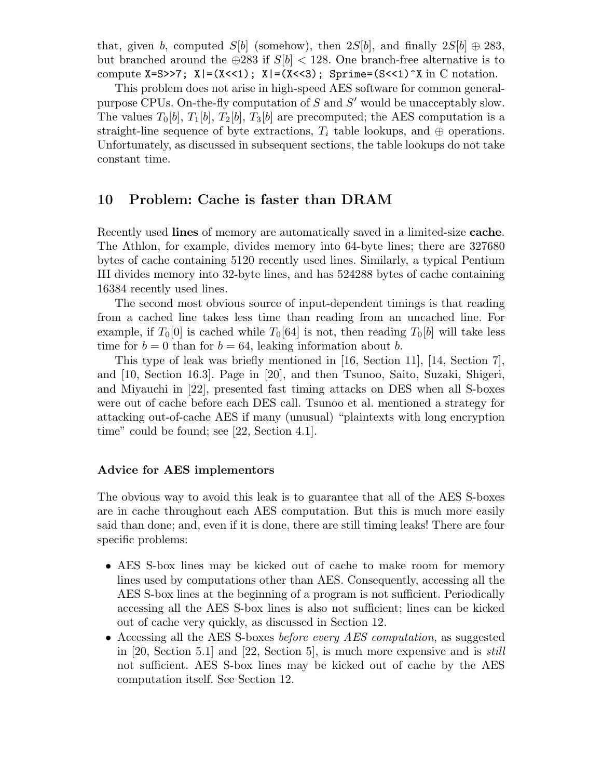that, given b, computed  $S[b]$  (somehow), then  $2S[b]$ , and finally  $2S[b] \oplus 283$ , but branched around the ⊕283 if  $S[b] < 128$ . One branch-free alternative is to compute X=S>>7; X|=(X<<1); X|=(X<<3); Sprime=(S<<1)^X in C notation.

This problem does not arise in high-speed AES software for common generalpurpose CPUs. On-the-fly computation of  $S$  and  $S'$  would be unacceptably slow. The values  $T_0[b], T_1[b], T_2[b], T_3[b]$  are precomputed; the AES computation is a straight-line sequence of byte extractions,  $T_i$  table lookups, and  $\oplus$  operations. Unfortunately, as discussed in subsequent sections, the table lookups do not take constant time.

### 10 Problem: Cache is faster than DRAM

Recently used lines of memory are automatically saved in a limited-size cache. The Athlon, for example, divides memory into 64-byte lines; there are 327680 bytes of cache containing 5120 recently used lines. Similarly, a typical Pentium III divides memory into 32-byte lines, and has 524288 bytes of cache containing 16384 recently used lines.

The second most obvious source of input-dependent timings is that reading from a cached line takes less time than reading from an uncached line. For example, if  $T_0[0]$  is cached while  $T_0[64]$  is not, then reading  $T_0[6]$  will take less time for  $b = 0$  than for  $b = 64$ , leaking information about b.

This type of leak was briefly mentioned in [16, Section 11], [14, Section 7], and [10, Section 16.3]. Page in [20], and then Tsunoo, Saito, Suzaki, Shigeri, and Miyauchi in [22], presented fast timing attacks on DES when all S-boxes were out of cache before each DES call. Tsunoo et al. mentioned a strategy for attacking out-of-cache AES if many (unusual) "plaintexts with long encryption time" could be found; see [22, Section 4.1].

#### Advice for AES implementors

The obvious way to avoid this leak is to guarantee that all of the AES S-boxes are in cache throughout each AES computation. But this is much more easily said than done; and, even if it is done, there are still timing leaks! There are four specific problems:

- AES S-box lines may be kicked out of cache to make room for memory lines used by computations other than AES. Consequently, accessing all the AES S-box lines at the beginning of a program is not sufficient. Periodically accessing all the AES S-box lines is also not sufficient; lines can be kicked out of cache very quickly, as discussed in Section 12.
- Accessing all the AES S-boxes *before every AES computation*, as suggested in [20, Section 5.1] and [22, Section 5], is much more expensive and is still not sufficient. AES S-box lines may be kicked out of cache by the AES computation itself. See Section 12.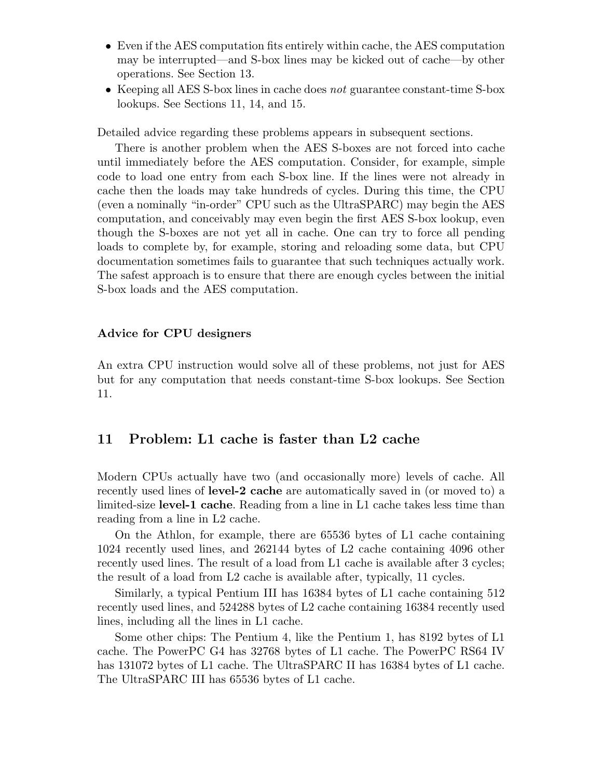- Even if the AES computation fits entirely within cache, the AES computation may be interrupted—and S-box lines may be kicked out of cache—by other operations. See Section 13.
- Keeping all AES S-box lines in cache does not guarantee constant-time S-box lookups. See Sections 11, 14, and 15.

Detailed advice regarding these problems appears in subsequent sections.

There is another problem when the AES S-boxes are not forced into cache until immediately before the AES computation. Consider, for example, simple code to load one entry from each S-box line. If the lines were not already in cache then the loads may take hundreds of cycles. During this time, the CPU (even a nominally "in-order" CPU such as the UltraSPARC) may begin the AES computation, and conceivably may even begin the first AES S-box lookup, even though the S-boxes are not yet all in cache. One can try to force all pending loads to complete by, for example, storing and reloading some data, but CPU documentation sometimes fails to guarantee that such techniques actually work. The safest approach is to ensure that there are enough cycles between the initial S-box loads and the AES computation.

#### Advice for CPU designers

An extra CPU instruction would solve all of these problems, not just for AES but for any computation that needs constant-time S-box lookups. See Section 11.

### 11 Problem: L1 cache is faster than L2 cache

Modern CPUs actually have two (and occasionally more) levels of cache. All recently used lines of level-2 cache are automatically saved in (or moved to) a limited-size level-1 cache. Reading from a line in L1 cache takes less time than reading from a line in L2 cache.

On the Athlon, for example, there are 65536 bytes of L1 cache containing 1024 recently used lines, and 262144 bytes of L2 cache containing 4096 other recently used lines. The result of a load from L1 cache is available after 3 cycles; the result of a load from L2 cache is available after, typically, 11 cycles.

Similarly, a typical Pentium III has 16384 bytes of L1 cache containing 512 recently used lines, and 524288 bytes of L2 cache containing 16384 recently used lines, including all the lines in L1 cache.

Some other chips: The Pentium 4, like the Pentium 1, has 8192 bytes of L1 cache. The PowerPC G4 has 32768 bytes of L1 cache. The PowerPC RS64 IV has 131072 bytes of L1 cache. The UltraSPARC II has 16384 bytes of L1 cache. The UltraSPARC III has 65536 bytes of L1 cache.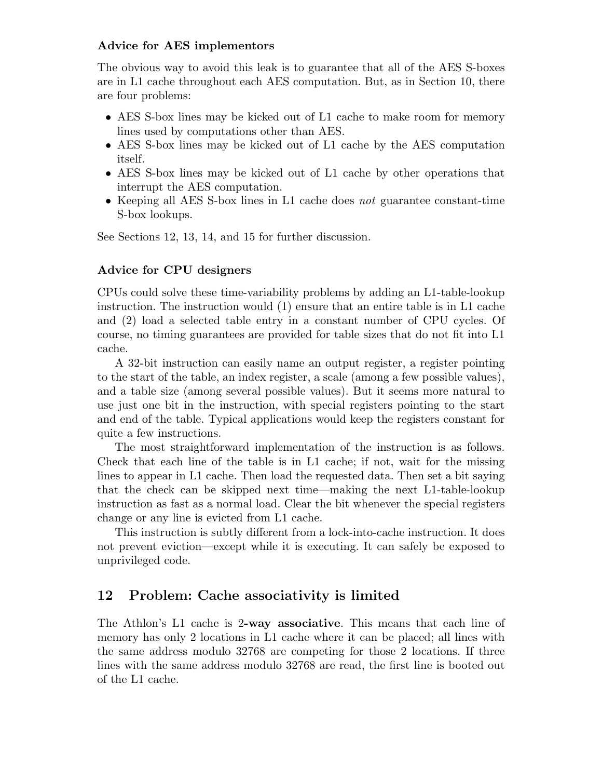### Advice for AES implementors

The obvious way to avoid this leak is to guarantee that all of the AES S-boxes are in L1 cache throughout each AES computation. But, as in Section 10, there are four problems:

- AES S-box lines may be kicked out of L1 cache to make room for memory lines used by computations other than AES.
- AES S-box lines may be kicked out of L1 cache by the AES computation itself.
- AES S-box lines may be kicked out of L1 cache by other operations that interrupt the AES computation.
- Keeping all AES S-box lines in L1 cache does not guarantee constant-time S-box lookups.

See Sections 12, 13, 14, and 15 for further discussion.

### Advice for CPU designers

CPUs could solve these time-variability problems by adding an L1-table-lookup instruction. The instruction would (1) ensure that an entire table is in L1 cache and (2) load a selected table entry in a constant number of CPU cycles. Of course, no timing guarantees are provided for table sizes that do not fit into L1 cache.

A 32-bit instruction can easily name an output register, a register pointing to the start of the table, an index register, a scale (among a few possible values), and a table size (among several possible values). But it seems more natural to use just one bit in the instruction, with special registers pointing to the start and end of the table. Typical applications would keep the registers constant for quite a few instructions.

The most straightforward implementation of the instruction is as follows. Check that each line of the table is in L1 cache; if not, wait for the missing lines to appear in L1 cache. Then load the requested data. Then set a bit saying that the check can be skipped next time—making the next L1-table-lookup instruction as fast as a normal load. Clear the bit whenever the special registers change or any line is evicted from L1 cache.

This instruction is subtly different from a lock-into-cache instruction. It does not prevent eviction—except while it is executing. It can safely be exposed to unprivileged code.

## 12 Problem: Cache associativity is limited

The Athlon's L1 cache is 2-way associative. This means that each line of memory has only 2 locations in L1 cache where it can be placed; all lines with the same address modulo 32768 are competing for those 2 locations. If three lines with the same address modulo 32768 are read, the first line is booted out of the L1 cache.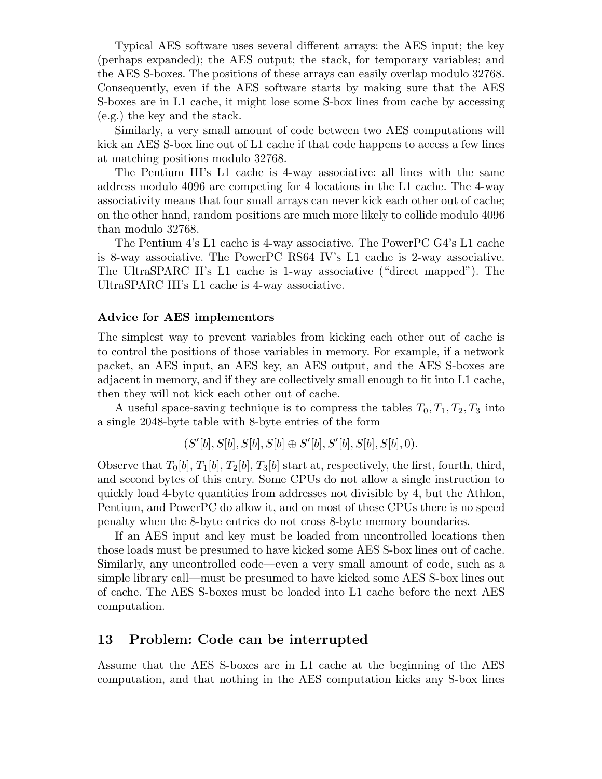Typical AES software uses several different arrays: the AES input; the key (perhaps expanded); the AES output; the stack, for temporary variables; and the AES S-boxes. The positions of these arrays can easily overlap modulo 32768. Consequently, even if the AES software starts by making sure that the AES S-boxes are in L1 cache, it might lose some S-box lines from cache by accessing (e.g.) the key and the stack.

Similarly, a very small amount of code between two AES computations will kick an AES S-box line out of L1 cache if that code happens to access a few lines at matching positions modulo 32768.

The Pentium III's L1 cache is 4-way associative: all lines with the same address modulo 4096 are competing for 4 locations in the L1 cache. The 4-way associativity means that four small arrays can never kick each other out of cache; on the other hand, random positions are much more likely to collide modulo 4096 than modulo 32768.

The Pentium 4's L1 cache is 4-way associative. The PowerPC G4's L1 cache is 8-way associative. The PowerPC RS64 IV's L1 cache is 2-way associative. The UltraSPARC II's L1 cache is 1-way associative ("direct mapped"). The UltraSPARC III's L1 cache is 4-way associative.

#### Advice for AES implementors

The simplest way to prevent variables from kicking each other out of cache is to control the positions of those variables in memory. For example, if a network packet, an AES input, an AES key, an AES output, and the AES S-boxes are adjacent in memory, and if they are collectively small enough to fit into L1 cache, then they will not kick each other out of cache.

A useful space-saving technique is to compress the tables  $T_0, T_1, T_2, T_3$  into a single 2048-byte table with 8-byte entries of the form

$$
(S'[b], S[b], S[b], S[b] \oplus S'[b], S'[b], S[b], S[b], 0).
$$

Observe that  $T_0[b], T_1[b], T_2[b], T_3[b]$  start at, respectively, the first, fourth, third, and second bytes of this entry. Some CPUs do not allow a single instruction to quickly load 4-byte quantities from addresses not divisible by 4, but the Athlon, Pentium, and PowerPC do allow it, and on most of these CPUs there is no speed penalty when the 8-byte entries do not cross 8-byte memory boundaries.

If an AES input and key must be loaded from uncontrolled locations then those loads must be presumed to have kicked some AES S-box lines out of cache. Similarly, any uncontrolled code—even a very small amount of code, such as a simple library call—must be presumed to have kicked some AES S-box lines out of cache. The AES S-boxes must be loaded into L1 cache before the next AES computation.

#### 13 Problem: Code can be interrupted

Assume that the AES S-boxes are in L1 cache at the beginning of the AES computation, and that nothing in the AES computation kicks any S-box lines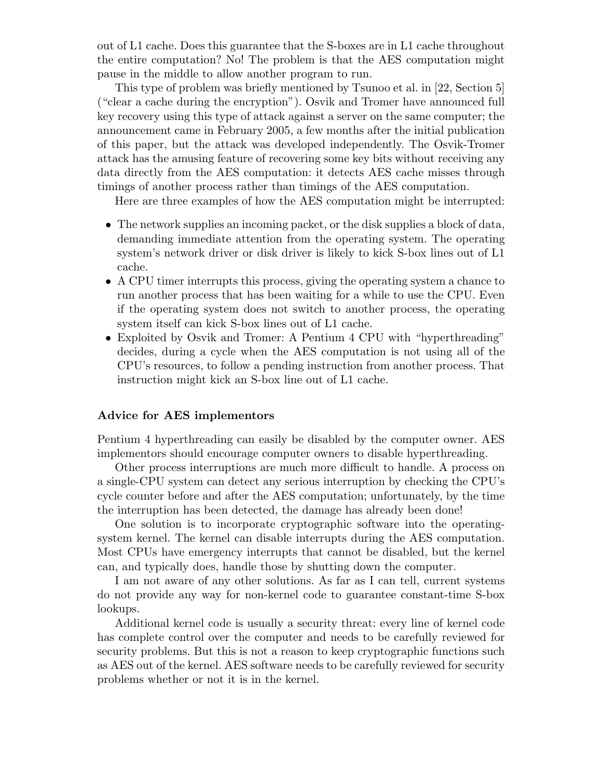out of L1 cache. Does this guarantee that the S-boxes are in L1 cache throughout the entire computation? No! The problem is that the AES computation might pause in the middle to allow another program to run.

This type of problem was briefly mentioned by Tsunoo et al. in [22, Section 5] ("clear a cache during the encryption"). Osvik and Tromer have announced full key recovery using this type of attack against a server on the same computer; the announcement came in February 2005, a few months after the initial publication of this paper, but the attack was developed independently. The Osvik-Tromer attack has the amusing feature of recovering some key bits without receiving any data directly from the AES computation: it detects AES cache misses through timings of another process rather than timings of the AES computation.

Here are three examples of how the AES computation might be interrupted:

- The network supplies an incoming packet, or the disk supplies a block of data, demanding immediate attention from the operating system. The operating system's network driver or disk driver is likely to kick S-box lines out of L1 cache.
- A CPU timer interrupts this process, giving the operating system a chance to run another process that has been waiting for a while to use the CPU. Even if the operating system does not switch to another process, the operating system itself can kick S-box lines out of L1 cache.
- Exploited by Osvik and Tromer: A Pentium 4 CPU with "hyperthreading" decides, during a cycle when the AES computation is not using all of the CPU's resources, to follow a pending instruction from another process. That instruction might kick an S-box line out of L1 cache.

#### Advice for AES implementors

Pentium 4 hyperthreading can easily be disabled by the computer owner. AES implementors should encourage computer owners to disable hyperthreading.

Other process interruptions are much more difficult to handle. A process on a single-CPU system can detect any serious interruption by checking the CPU's cycle counter before and after the AES computation; unfortunately, by the time the interruption has been detected, the damage has already been done!

One solution is to incorporate cryptographic software into the operatingsystem kernel. The kernel can disable interrupts during the AES computation. Most CPUs have emergency interrupts that cannot be disabled, but the kernel can, and typically does, handle those by shutting down the computer.

I am not aware of any other solutions. As far as I can tell, current systems do not provide any way for non-kernel code to guarantee constant-time S-box lookups.

Additional kernel code is usually a security threat: every line of kernel code has complete control over the computer and needs to be carefully reviewed for security problems. But this is not a reason to keep cryptographic functions such as AES out of the kernel. AES software needs to be carefully reviewed for security problems whether or not it is in the kernel.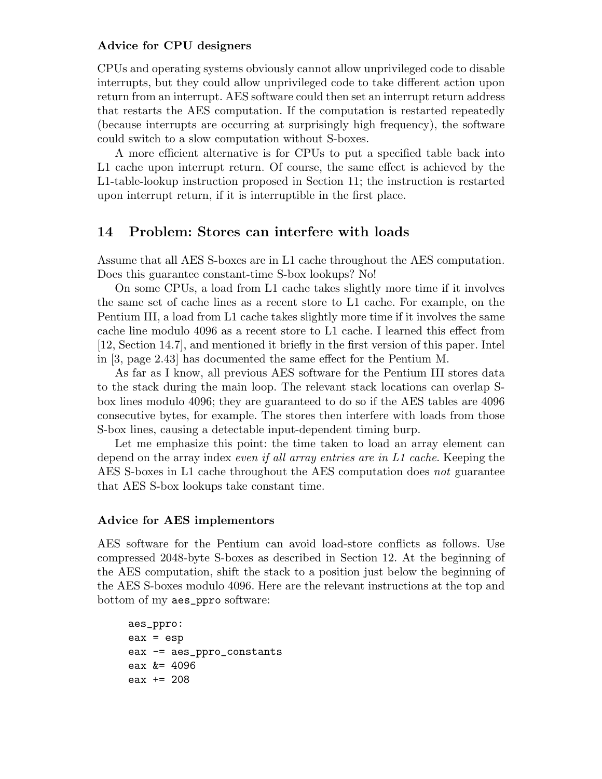#### Advice for CPU designers

CPUs and operating systems obviously cannot allow unprivileged code to disable interrupts, but they could allow unprivileged code to take different action upon return from an interrupt. AES software could then set an interrupt return address that restarts the AES computation. If the computation is restarted repeatedly (because interrupts are occurring at surprisingly high frequency), the software could switch to a slow computation without S-boxes.

A more efficient alternative is for CPUs to put a specified table back into L1 cache upon interrupt return. Of course, the same effect is achieved by the L1-table-lookup instruction proposed in Section 11; the instruction is restarted upon interrupt return, if it is interruptible in the first place.

## 14 Problem: Stores can interfere with loads

Assume that all AES S-boxes are in L1 cache throughout the AES computation. Does this guarantee constant-time S-box lookups? No!

On some CPUs, a load from L1 cache takes slightly more time if it involves the same set of cache lines as a recent store to L1 cache. For example, on the Pentium III, a load from L1 cache takes slightly more time if it involves the same cache line modulo 4096 as a recent store to L1 cache. I learned this effect from [12, Section 14.7], and mentioned it briefly in the first version of this paper. Intel in [3, page 2.43] has documented the same effect for the Pentium M.

As far as I know, all previous AES software for the Pentium III stores data to the stack during the main loop. The relevant stack locations can overlap Sbox lines modulo 4096; they are guaranteed to do so if the AES tables are 4096 consecutive bytes, for example. The stores then interfere with loads from those S-box lines, causing a detectable input-dependent timing burp.

Let me emphasize this point: the time taken to load an array element can depend on the array index even if all array entries are in L1 cache. Keeping the AES S-boxes in L1 cache throughout the AES computation does not guarantee that AES S-box lookups take constant time.

#### Advice for AES implementors

AES software for the Pentium can avoid load-store conflicts as follows. Use compressed 2048-byte S-boxes as described in Section 12. At the beginning of the AES computation, shift the stack to a position just below the beginning of the AES S-boxes modulo 4096. Here are the relevant instructions at the top and bottom of my aes\_ppro software:

```
aes_ppro:
eax = espeax -= aes_ppro_constants
eax &= 4096
eax += 208
```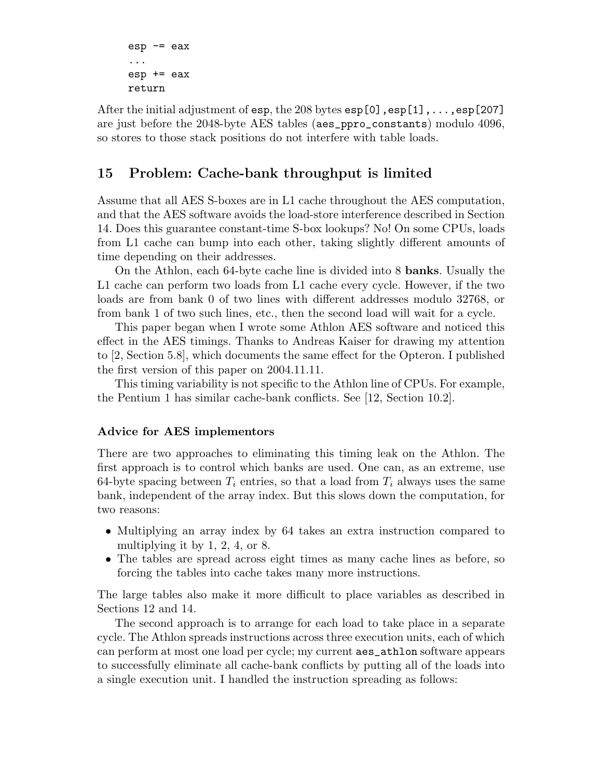esp -= eax ... esp += eax return

After the initial adjustment of esp, the 208 bytes  $\exp[0]$ ,  $\exp[1]$ , ...,  $\exp[207]$ are just before the 2048-byte AES tables (aes\_ppro\_constants) modulo 4096, so stores to those stack positions do not interfere with table loads.

## 15 Problem: Cache-bank throughput is limited

Assume that all AES S-boxes are in L1 cache throughout the AES computation, and that the AES software avoids the load-store interference described in Section 14. Does this guarantee constant-time S-box lookups? No! On some CPUs, loads from L1 cache can bump into each other, taking slightly different amounts of time depending on their addresses.

On the Athlon, each 64-byte cache line is divided into 8 banks. Usually the L1 cache can perform two loads from L1 cache every cycle. However, if the two loads are from bank 0 of two lines with different addresses modulo 32768, or from bank 1 of two such lines, etc., then the second load will wait for a cycle.

This paper began when I wrote some Athlon AES software and noticed this effect in the AES timings. Thanks to Andreas Kaiser for drawing my attention to [2, Section 5.8], which documents the same effect for the Opteron. I published the first version of this paper on 2004.11.11.

This timing variability is not specific to the Athlon line of CPUs. For example, the Pentium 1 has similar cache-bank conflicts. See [12, Section 10.2].

#### Advice for AES implementors

There are two approaches to eliminating this timing leak on the Athlon. The first approach is to control which banks are used. One can, as an extreme, use 64-byte spacing between  $T_i$  entries, so that a load from  $T_i$  always uses the same bank, independent of the array index. But this slows down the computation, for two reasons:

- Multiplying an array index by 64 takes an extra instruction compared to multiplying it by 1, 2, 4, or 8.
- The tables are spread across eight times as many cache lines as before, so forcing the tables into cache takes many more instructions.

The large tables also make it more difficult to place variables as described in Sections 12 and 14.

The second approach is to arrange for each load to take place in a separate cycle. The Athlon spreads instructions across three execution units, each of which can perform at most one load per cycle; my current aes\_athlon software appears to successfully eliminate all cache-bank conflicts by putting all of the loads into a single execution unit. I handled the instruction spreading as follows: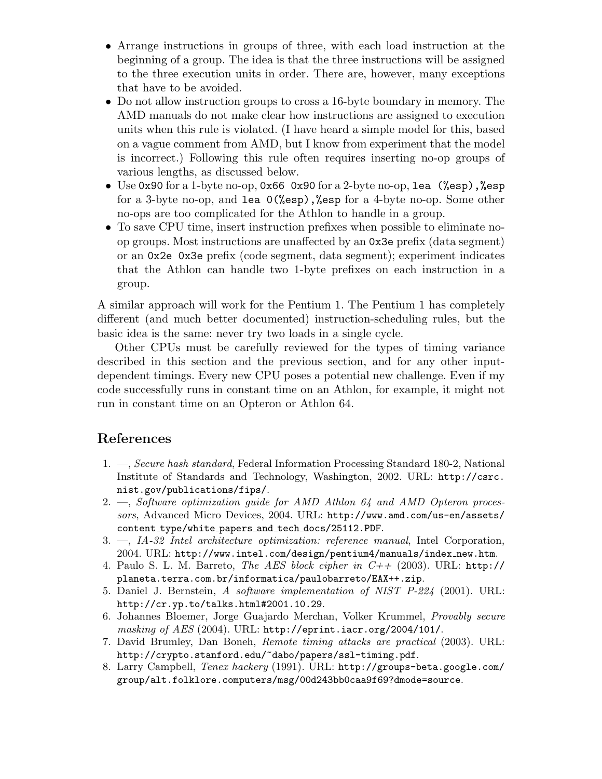- Arrange instructions in groups of three, with each load instruction at the beginning of a group. The idea is that the three instructions will be assigned to the three execution units in order. There are, however, many exceptions that have to be avoided.
- Do not allow instruction groups to cross a 16-byte boundary in memory. The AMD manuals do not make clear how instructions are assigned to execution units when this rule is violated. (I have heard a simple model for this, based on a vague comment from AMD, but I know from experiment that the model is incorrect.) Following this rule often requires inserting no-op groups of various lengths, as discussed below.
- Use 0x90 for a 1-byte no-op, 0x66 0x90 for a 2-byte no-op, lea ( $\text{#sep}$ ),  $\text{#sep}$ for a 3-byte no-op, and lea 0(%esp),%esp for a 4-byte no-op. Some other no-ops are too complicated for the Athlon to handle in a group.
- To save CPU time, insert instruction prefixes when possible to eliminate noop groups. Most instructions are unaffected by an 0x3e prefix (data segment) or an 0x2e 0x3e prefix (code segment, data segment); experiment indicates that the Athlon can handle two 1-byte prefixes on each instruction in a group.

A similar approach will work for the Pentium 1. The Pentium 1 has completely different (and much better documented) instruction-scheduling rules, but the basic idea is the same: never try two loads in a single cycle.

Other CPUs must be carefully reviewed for the types of timing variance described in this section and the previous section, and for any other inputdependent timings. Every new CPU poses a potential new challenge. Even if my code successfully runs in constant time on an Athlon, for example, it might not run in constant time on an Opteron or Athlon 64.

## References

- 1. —, Secure hash standard, Federal Information Processing Standard 180-2, National Institute of Standards and Technology, Washington, 2002. URL: http://csrc. nist.gov/publications/fips/.
- 2. —, Software optimization guide for AMD Athlon 64 and AMD Opteron processors, Advanced Micro Devices, 2004. URL: http://www.amd.com/us-en/assets/ content type/white papers and tech docs/25112.PDF.
- 3. —, IA-32 Intel architecture optimization: reference manual, Intel Corporation, 2004. URL: http://www.intel.com/design/pentium4/manuals/index new.htm.
- 4. Paulo S. L. M. Barreto, The AES block cipher in  $C++$  (2003). URL: http:// planeta.terra.com.br/informatica/paulobarreto/EAX++.zip.
- 5. Daniel J. Bernstein, A software implementation of NIST P-224 (2001). URL: http://cr.yp.to/talks.html#2001.10.29.
- 6. Johannes Bloemer, Jorge Guajardo Merchan, Volker Krummel, Provably secure masking of AES (2004). URL: http://eprint.iacr.org/2004/101/.
- 7. David Brumley, Dan Boneh, Remote timing attacks are practical (2003). URL: http://crypto.stanford.edu/~dabo/papers/ssl-timing.pdf.
- 8. Larry Campbell, Tenex hackery (1991). URL: http://groups-beta.google.com/ group/alt.folklore.computers/msg/00d243bb0caa9f69?dmode=source.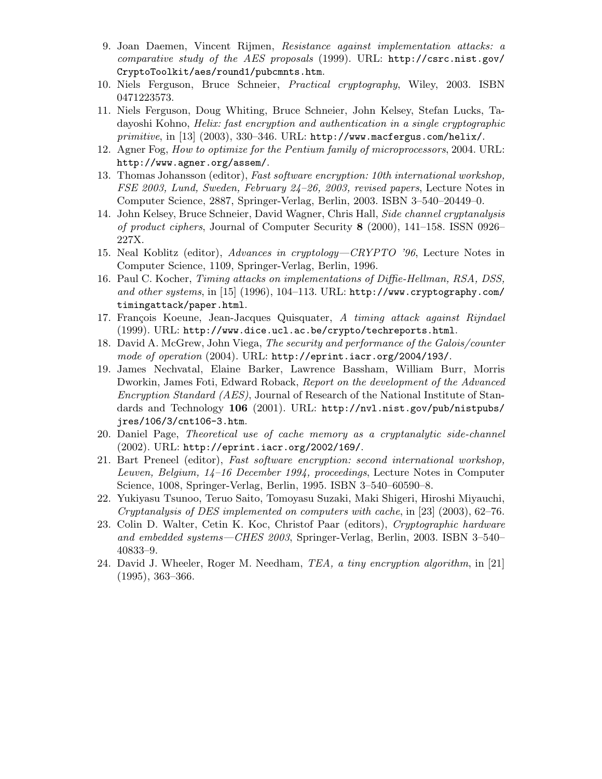- 9. Joan Daemen, Vincent Rijmen, Resistance against implementation attacks: a comparative study of the AES proposals (1999). URL: http://csrc.nist.gov/ CryptoToolkit/aes/round1/pubcmnts.htm.
- 10. Niels Ferguson, Bruce Schneier, Practical cryptography, Wiley, 2003. ISBN 0471223573.
- 11. Niels Ferguson, Doug Whiting, Bruce Schneier, John Kelsey, Stefan Lucks, Tadayoshi Kohno, Helix: fast encryption and authentication in a single cryptographic primitive, in  $[13]$   $(2003)$ ,  $330-346$ . URL: http://www.macfergus.com/helix/.
- 12. Agner Fog, How to optimize for the Pentium family of microprocessors, 2004. URL: http://www.agner.org/assem/.
- 13. Thomas Johansson (editor), Fast software encryption: 10th international workshop, FSE 2003, Lund, Sweden, February 24–26, 2003, revised papers, Lecture Notes in Computer Science, 2887, Springer-Verlag, Berlin, 2003. ISBN 3–540–20449–0.
- 14. John Kelsey, Bruce Schneier, David Wagner, Chris Hall, Side channel cryptanalysis of product ciphers, Journal of Computer Security 8 (2000), 141–158. ISSN 0926– 227X.
- 15. Neal Koblitz (editor), Advances in cryptology—CRYPTO '96, Lecture Notes in Computer Science, 1109, Springer-Verlag, Berlin, 1996.
- 16. Paul C. Kocher, Timing attacks on implementations of Diffie-Hellman, RSA, DSS, and other systems, in [15] (1996), 104–113. URL: http://www.cryptography.com/ timingattack/paper.html.
- 17. François Koeune, Jean-Jacques Quisquater, A timing attack against Rijndael (1999). URL: http://www.dice.ucl.ac.be/crypto/techreports.html.
- 18. David A. McGrew, John Viega, The security and performance of the Galois/counter mode of operation (2004). URL: http://eprint.iacr.org/2004/193/.
- 19. James Nechvatal, Elaine Barker, Lawrence Bassham, William Burr, Morris Dworkin, James Foti, Edward Roback, Report on the development of the Advanced Encryption Standard (AES), Journal of Research of the National Institute of Standards and Technology 106 (2001). URL: http://nvl.nist.gov/pub/nistpubs/ jres/106/3/cnt106-3.htm.
- 20. Daniel Page, Theoretical use of cache memory as a cryptanalytic side-channel (2002). URL: http://eprint.iacr.org/2002/169/.
- 21. Bart Preneel (editor), Fast software encryption: second international workshop, Leuven, Belgium, 14–16 December 1994, proceedings, Lecture Notes in Computer Science, 1008, Springer-Verlag, Berlin, 1995. ISBN 3–540–60590–8.
- 22. Yukiyasu Tsunoo, Teruo Saito, Tomoyasu Suzaki, Maki Shigeri, Hiroshi Miyauchi, Cryptanalysis of DES implemented on computers with cache, in [23] (2003), 62–76.
- 23. Colin D. Walter, Cetin K. Koc, Christof Paar (editors), Cryptographic hardware and embedded systems—CHES 2003, Springer-Verlag, Berlin, 2003. ISBN 3–540– 40833–9.
- 24. David J. Wheeler, Roger M. Needham, TEA, a tiny encryption algorithm, in [21] (1995), 363–366.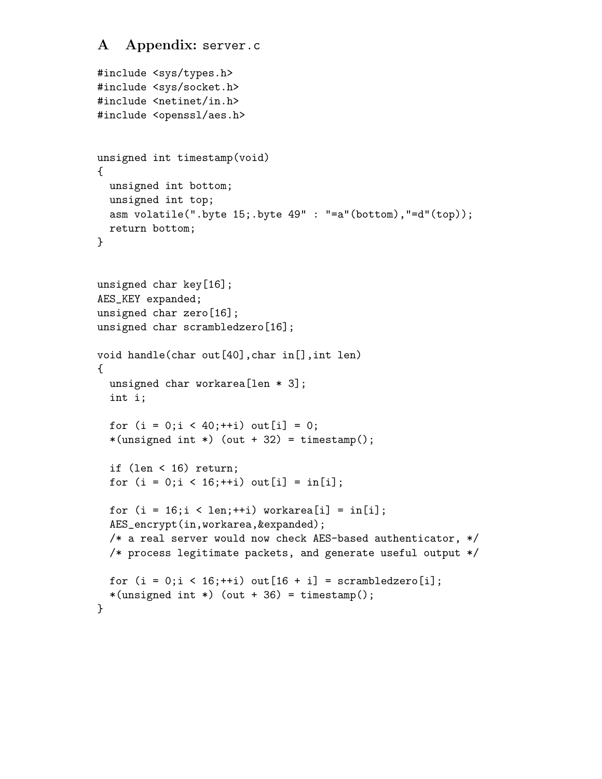```
A Appendix: server.c
#include <sys/types.h>
#include <sys/socket.h>
#include <netinet/in.h>
#include <openssl/aes.h>
unsigned int timestamp(void)
{
 unsigned int bottom;
 unsigned int top;
 asm volatile(".byte 15;.byte 49" : "=a"(bottom),"=d"(top));
 return bottom;
}
unsigned char key[16];
AES_KEY expanded;
unsigned char zero[16];
unsigned char scrambledzero[16];
void handle(char out[40],char in[],int len)
{
 unsigned char workarea[len * 3];
  int i;
  for (i = 0; i < 40; ++i) out [i] = 0;*(unsigned int *) (out + 32) = timestamp();
  if (len < 16) return;
  for (i = 0; i < 16; ++i) out [i] = in[i];for (i = 16; i < len;++i) workarea[i] = in[i];AES_encrypt(in,workarea,&expanded);
  /* a real server would now check AES-based authenticator, */
  /* process legitimate packets, and generate useful output */
  for (i = 0; i < 16;++i) out[16 + i] = scrambledzero[i];
  *(unsigned int *) (out + 36) = timestamp();
}
```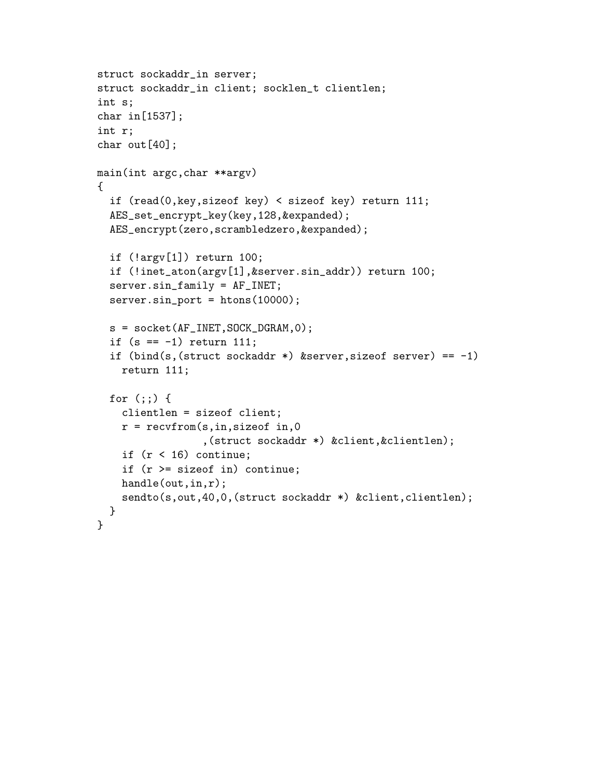```
struct sockaddr_in server;
struct sockaddr_in client; socklen_t clientlen;
int s;
char in[1537];
int r;
char out[40];
main(int argc,char **argv)
{
  if (read(0,key,sizeof key) < sizeof key) return 111;
  AES_set_encrypt_key(key,128,&expanded);
  AES_encrypt(zero,scrambledzero,&expanded);
  if (!argv[1]) return 100;
  if (!inet_aton(argv[1],&server.sin_addr)) return 100;
  server.sin_family = AF_INET;
  server.sin_port = htons(10000);
  s = socket(AF_INET,SOCK_DGRAM,0);
  if (s == -1) return 111;
  if (bind(s, (struct \, socket \, *)) &server, sizeof server) == -1)
    return 111;
  for (;;) {
    clientlen = sizeof client;
    r = \text{recvfrom}(s, in, size of in, 0),(struct sockaddr *) &client,&clientlen);
    if (r < 16) continue;
    if (r >= sizeof in) continue;
    handle(out,in,r);
    sendto(s,out,40,0,(struct sockaddr *) &client,clientlen);
 }
}
```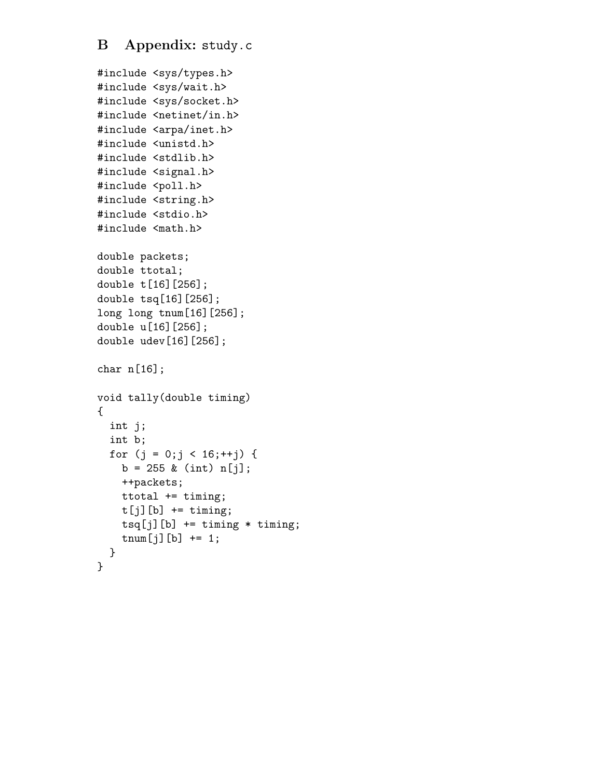# B Appendix: study.c

```
#include <sys/types.h>
#include <sys/wait.h>
#include <sys/socket.h>
#include <netinet/in.h>
#include <arpa/inet.h>
#include <unistd.h>
#include <stdlib.h>
#include <signal.h>
#include <poll.h>
#include <string.h>
#include <stdio.h>
#include <math.h>
double packets;
double ttotal;
double t[16][256];
double tsq[16][256];
long long tnum[16][256];
double u[16][256];
double udev[16][256];
char n[16];
void tally(double timing)
{
  int j;
  int b;
  for (j = 0; j < 16; ++j) {
    b = 255 \& (int) n[j];++packets;
    ttotal += timing;
    t[j][b] += timing;
    tsq[j][b] += timing * timing;
    tnum[j][b] += 1;}
}
```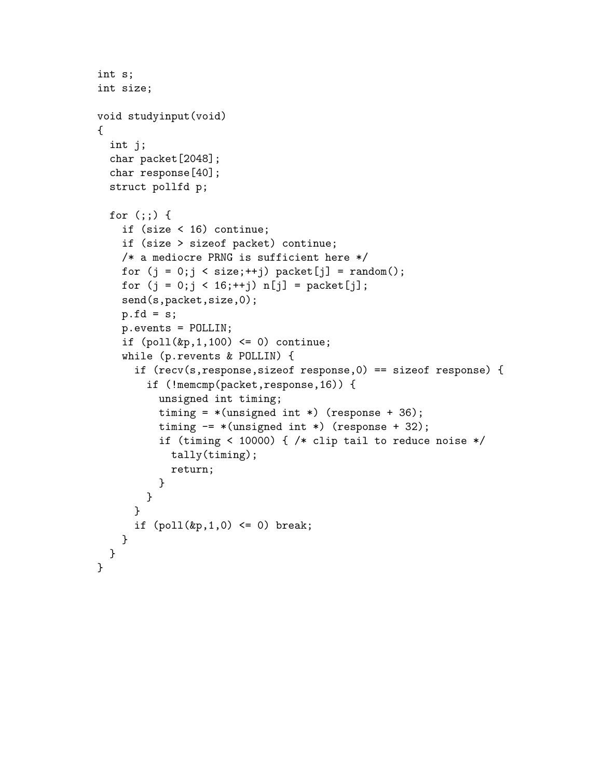```
int s;
int size;
void studyinput(void)
{
  int j;
  char packet[2048];
  char response[40];
  struct pollfd p;
  for (:;) \{if (size < 16) continue;
    if (size > sizeof packet) continue;
    /* a mediocre PRNG is sufficient here */
    for (j = 0; j < size; ++j) packet[j] = random();
    for (j = 0; j < 16; ++j) n[j] = packet[j];send(s,packet,size,0);
    p.fd = s;p.events = POLLIN;
    if (poll(\&p,1,100) \le 0) continue;
    while (p.revents & POLLIN) {
      if (recv(s,response,sizeof response,0) == sizeof response) {
        if (!memcmp(packet,response,16)) {
          unsigned int timing;
          timing = *(unsigned int *) (response + 36);
          timing - * (unsigned int *) (response + 32);
          if (timing < 10000) { /* clip tail to reduce noise */
            tally(timing);
            return;
          }
        }
      }
      if (poll(\&p,1,0) \le 0) break;
    }
 }
}
```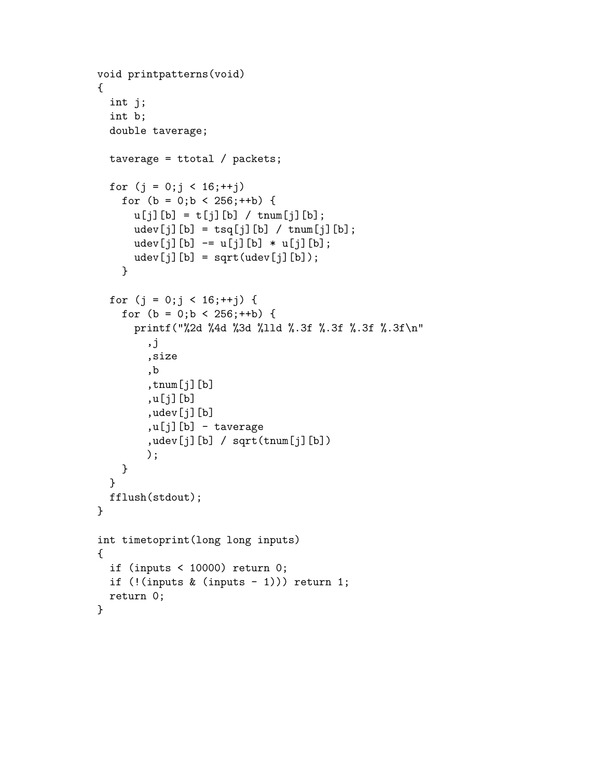```
void printpatterns(void)
{
  int j;
  int b;
  double taverage;
  taverage = ttotal / packets;
  for (j = 0; j < 16; ++j)for (b = 0;b < 256;++b) {
      u[j][b] = t[j][b] / tnum[j][b];udev[j][b] = tsq[j][b] / tun[j][b];udev[j][b] -= u[j][b] * u[j][b];
      udev[j][b] = sqrt(udev[j][b]);}
  for (j = 0; j < 16;++j) {
    for (b = 0;b < 256;++b) {
      printf("%2d %4d %3d %lld %.3f %.3f %.3f %.3f\n"
        ,j
        ,size
        ,b
        ,tnum[j][b]
        ,u[j][b]
        ,udev[j][b]
        ,u[j][b] - taverage
        ,udev[j][b] / sqrt(tnum[j][b])
        );
    }
  }
 fflush(stdout);
}
int timetoprint(long long inputs)
{
  if (inputs < 10000) return 0;
  if (!(inputs & (inputs - 1))) return 1;
  return 0;
}
```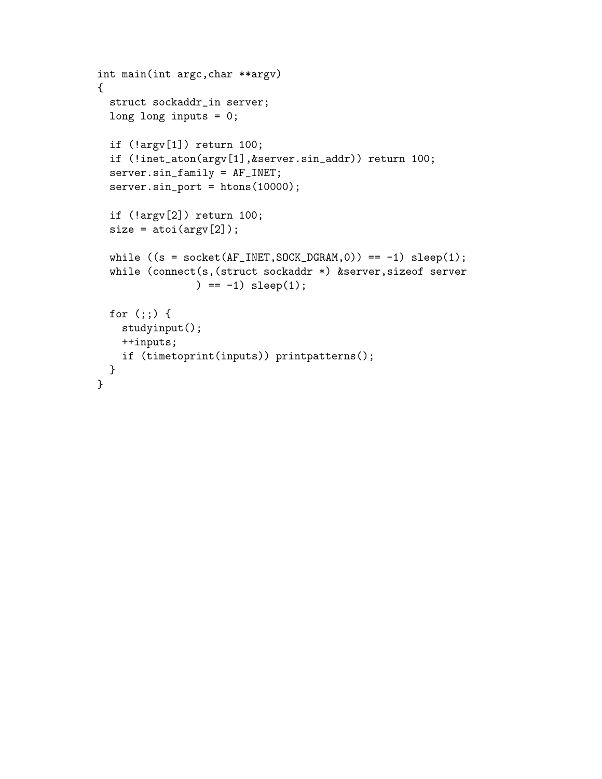```
int main(int argc,char **argv)
{
  struct sockaddr_in server;
  long long inputs = 0;
  if (!argv[1]) return 100;
 if (!inet_aton(argv[1],&server.sin_addr)) return 100;
  server.sin_family = AF_INET;
  server.sin_port = htons(10000);
  if (!argv[2]) return 100;
  size = atoi(argv[2]);while ((s = socket(AF_INET, SICK_DGRAM, 0)) == -1) sleep(1);while (connect(s,(struct sockaddr *) &server,sizeof server
                ) == -1) sleep(1);
  for (;;) {
    studyinput();
    ++inputs;
    if (timetoprint(inputs)) printpatterns();
 }
}
```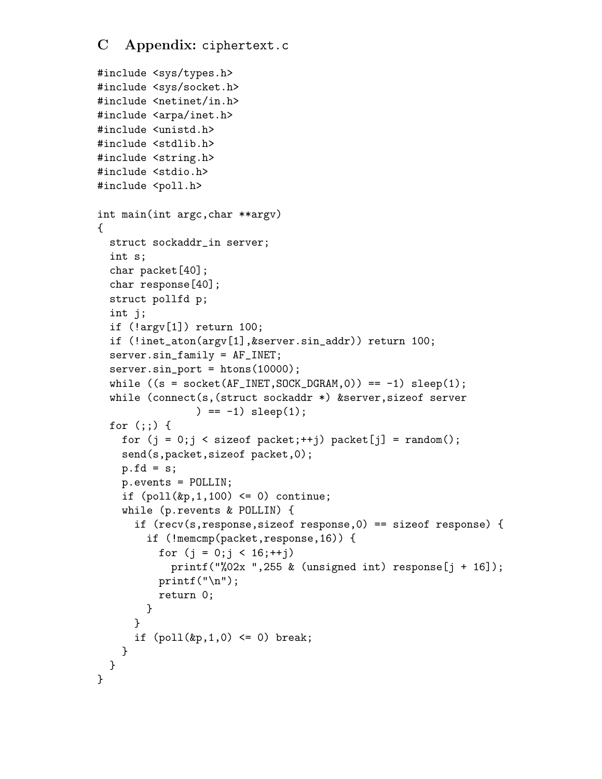```
C Appendix: ciphertext.c
#include <sys/types.h>
#include <sys/socket.h>
#include <netinet/in.h>
#include <arpa/inet.h>
#include <unistd.h>
#include <stdlib.h>
#include <string.h>
#include <stdio.h>
#include <poll.h>
int main(int argc,char **argv)
{
  struct sockaddr_in server;
  int s;
  char packet[40];
  char response[40];
  struct pollfd p;
  int j;
  if (!argv[1]) return 100;
  if (!inet_aton(argv[1],&server.sin_addr)) return 100;
  server.sin_family = AF_INET;
  server.\sin_port = \text{htons}(10000);while ((s = socket(AF_INET, SOCK_DGRAM, 0)) == -1) sleep(1);while (connect(s,(struct sockaddr *) &server, sizeof server
                ) == -1) sleep(1);
  for (;;) {
    for (j = 0; j < sizeof packet; ++j) packet [j] = random();
    send(s,packet,sizeof packet,0);
    p.fd = s;p.events = POLLIN;
    if (poll(\&p,1,100) \le 0) continue;
    while (p.revents & POLLIN) {
      if (recv(s,response,sizeof response,0) == sizeof response) {
        if (!memcmp(packet,response,16)) {
          for (j = 0; j < 16;++j)printf("%02x",255 & (unsigned int) response[j + 16]);
          print(f("n");
          return 0;
        }
      }
      if (poll(\&p,1,0) \le 0) break;
    }
 }
}
```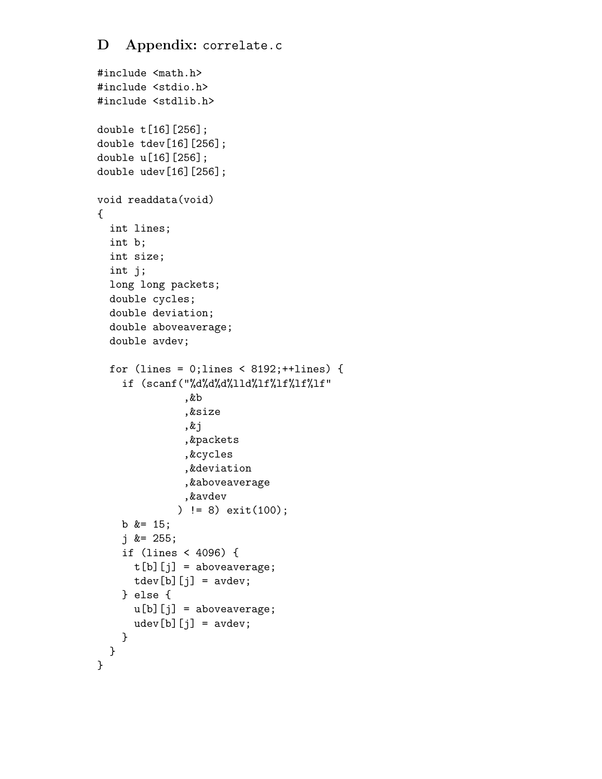```
#include <math.h>
#include <stdio.h>
#include <stdlib.h>
double t[16][256];
double tdev[16][256];
double u[16][256];
double udev[16][256];
void readdata(void)
{
  int lines;
  int b;
  int size;
  int j;
  long long packets;
  double cycles;
  double deviation;
  double aboveaverage;
  double avdev;
  for (lines = 0; lines < 8192; +lines) {
    if (scanf("%d%d%d%lld%lf%lf%lf%lf"
              ,&b
              ,&size
              ,&j
              ,&packets
              ,&cycles
              ,&deviation
              ,&aboveaverage
              ,&avdev
             ) != 8) exit(100);
    b &= 15;j &= 255;
    if (lines < 4096) {
      t[b][j] = aboveaverage;
      tdev[b][j] = avdev;} else {
      u[b][j] = aboveaverage;
      udev[b][j] = avdev;}
 }
}
```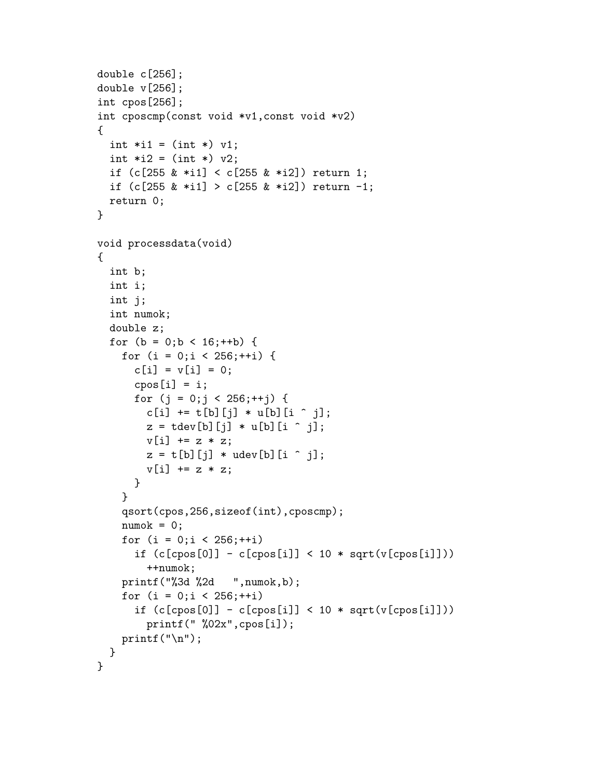```
double c[256];
double v[256];
int cpos[256];
int cposcmp(const void *v1,const void *v2)
{
  int *i1 = (int *) v1;
  int *i2 = (int *) v2;
  if (c[255 & *i1] < c[255 & *i2]) return 1;
  if (c[255 \& *i1] > c[255 \& *i2]) return -1;
  return 0;
}
void processdata(void)
{
  int b;
  int i;
  int j;
  int numok;
  double z;
  for (b = 0;b < 16;++b) {
    for (i = 0;i < 256;++i) {
      c[i] = v[i] = 0;cpos[i] = i;for (j = 0; j < 256;++j) {
        c[i] += t[b][j] * u[b][i \hat{ } j];
        z = tdev[b][j] * u[b][i \text{ } j];v[i] += z * z;
        z = t[b][j] * udev[b][i \text{ } j];v[i] += z * z;
      }
    }
    qsort(cpos,256,sizeof(int),cposcmp);
    numok = 0;for (i = 0; i < 256;++i)if (c[cpos[0]] - c[cpos[i]] < 10 * sqrt(v[cpos[i]]))++numok;
    printf("%3d %2d ",numok,b);
    for (i = 0; i < 256;++i)if (c[cpos[0]] - c[cpos[i]] < 10 * sqrt(v[cpos[i]]))printf(" %02x",cpos[i]);
    printf("n");
  }
}
```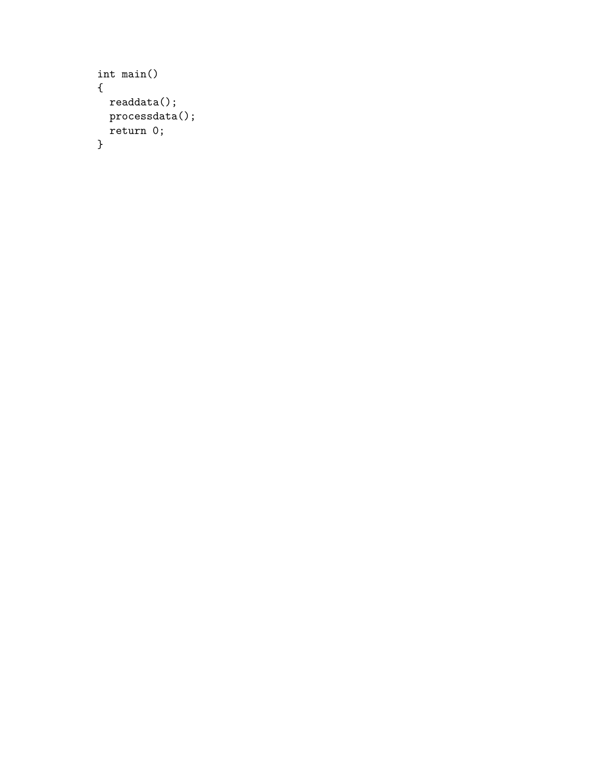```
int main()
{
  readdata();
  processdata();
  return 0;
}
```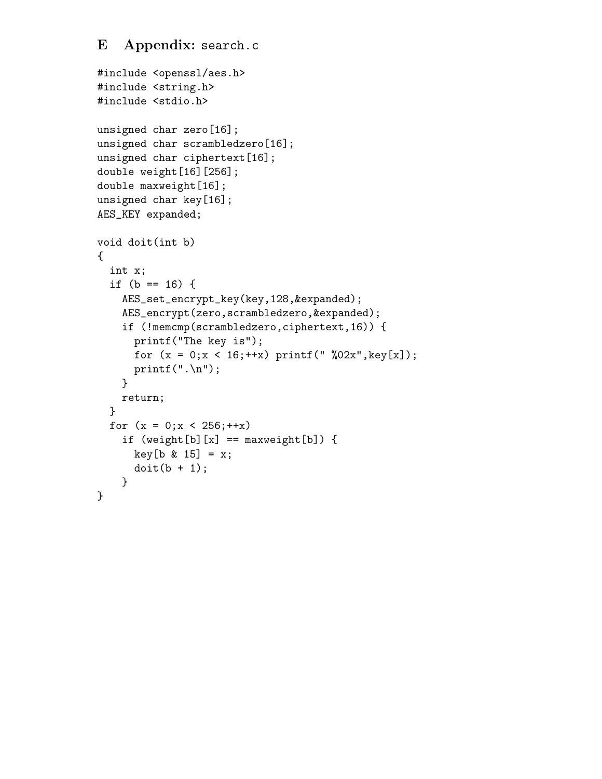```
E Appendix: search.c
#include <openssl/aes.h>
#include <string.h>
#include <stdio.h>
unsigned char zero[16];
unsigned char scrambledzero[16];
unsigned char ciphertext[16];
double weight[16][256];
double maxweight[16];
unsigned char key[16];
AES_KEY expanded;
void doit(int b)
{
  int x;
  if (b == 16) {
```

```
AES_set_encrypt_key(key,128,&expanded);
  AES_encrypt(zero,scrambledzero,&expanded);
  if (!memcmp(scrambledzero,ciphertext,16)) {
    printf("The key is");
    for (x = 0; x < 16; ++x) printf(" %02x", key[x]);
    printf(".\n\n\cdot);
  }
  return;
}
for (x = 0; x < 256; ++x)if (weight[b][x] == maxweight[b]) {
    key[b & 15] = x;dot(b + 1);}
```
}